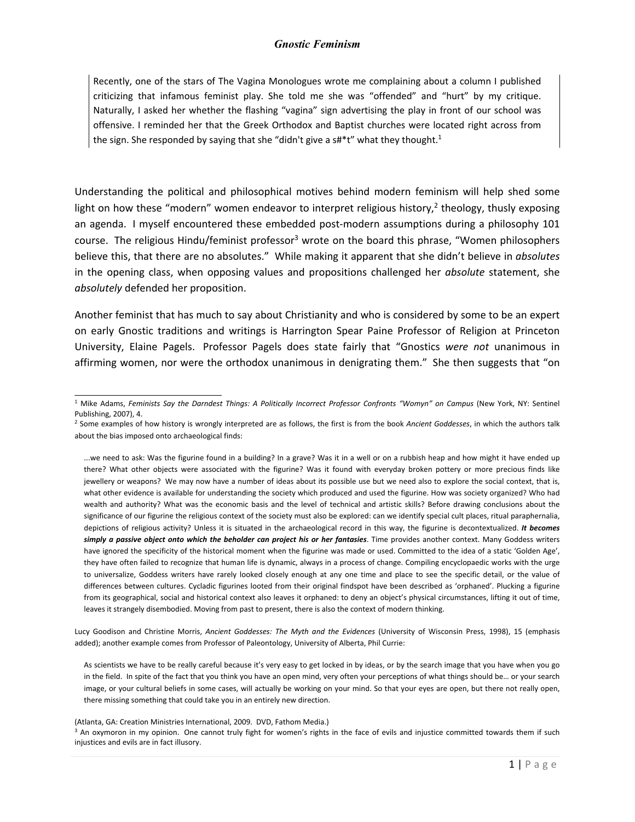Recently, one of the stars of The Vagina Monologues wrote me complaining about a column I published criticizing that infamous feminist play. She told me she was "offended" and "hurt" by my critique. Naturally, I asked her whether the flashing "vagina" sign advertising the play in front of our school was offensive. I reminded her that the Greek Orthodox and Baptist churches were located right across from the sign. She responded by saying that she "didn't give a s#\*t" what they thought.<sup>1</sup>

Understanding the political and philosophical motives behind modern feminism will help shed some light on how these "modern" women endeavor to interpret religious history,<sup>2</sup> theology, thusly exposing an agenda. I myself encountered these embedded post-modern assumptions during a philosophy 101 course. The religious Hindu/feminist professor<sup>3</sup> wrote on the board this phrase, "Women philosophers believe this, that there are no absolutes." While making it apparent that she didn't believe in *absolutes* in the opening class, when opposing values and propositions challenged her *absolute* statement, she *absolutely* defended her proposition.

Another feminist that has much to say about Christianity and who is considered by some to be an expert on early Gnostic traditions and writings is Harrington Spear Paine Professor of Religion at Princeton University, Elaine Pagels. Professor Pagels does state fairly that "Gnostics *were not* unanimous in affirming women, nor were the orthodox unanimous in denigrating them." She then suggests that "on

Lucy Goodison and Christine Morris, *Ancient Goddesses: The Myth and the Evidences* (University of Wisconsin Press, 1998), 15 (emphasis added); another example comes from Professor of Paleontology, University of Alberta, Phil Currie:

As scientists we have to be really careful because it's very easy to get locked in by ideas, or by the search image that you have when you go in the field. In spite of the fact that you think you have an open mind, very often your perceptions of what things should be… or your search image, or your cultural beliefs in some cases, will actually be working on your mind. So that your eyes are open, but there not really open, there missing something that could take you in an entirely new direction.

<sup>&</sup>lt;sup>1</sup> Mike Adams, *Feminists Say the Darndest Things: A Politically Incorrect Professor Confronts "Womyn" on Campus (New York, NY: Sentinel* Publishing, 2007), 4.

<sup>&</sup>lt;sup>2</sup> Some examples of how history is wrongly interpreted are as follows, the first is from the book *Ancient Goddesses*, in which the authors talk about the bias imposed onto archaeological finds:

<sup>...</sup>we need to ask: Was the figurine found in a building? In a grave? Was it in a well or on a rubbish heap and how might it have ended up there? What other objects were associated with the figurine? Was it found with everyday broken pottery or more precious finds like jewellery or weapons? We may now have a number of ideas about its possible use but we need also to explore the social context, that is, what other evidence is available for understanding the society which produced and used the figurine. How was society organized? Who had wealth and authority? What was the economic basis and the level of technical and artistic skills? Before drawing conclusions about the significance of our figurine the religious context of the society must also be explored: can we identify special cult places, ritual paraphernalia, depictions of religious activity? Unless it is situated in the archaeological record in this way, the figurine is decontextualized. *It becomes simply a passive object onto which the beholder can project his or her fantasies*. Time provides another context. Many Goddess writers have ignored the specificity of the historical moment when the figurine was made or used. Committed to the idea of a static 'Golden Age', they have often failed to recognize that human life is dynamic, always in a process of change. Compiling encyclopaedic works with the urge to universalize, Goddess writers have rarely looked closely enough at any one time and place to see the specific detail, or the value of differences between cultures. Cycladic figurines looted from their original findspot have been described as 'orphaned'. Plucking a figurine from its geographical, social and historical context also leaves it orphaned: to deny an object's physical circumstances, lifting it out of time, leaves it strangely disembodied. Moving from past to present, there is also the context of modern thinking.

<sup>(</sup>Atlanta, GA: Creation Ministries International, 2009. DVD, Fathom Media.)

<sup>&</sup>lt;sup>3</sup> An oxymoron in my opinion. One cannot truly fight for women's rights in the face of evils and injustice committed towards them if such injustices and evils are in fact illusory.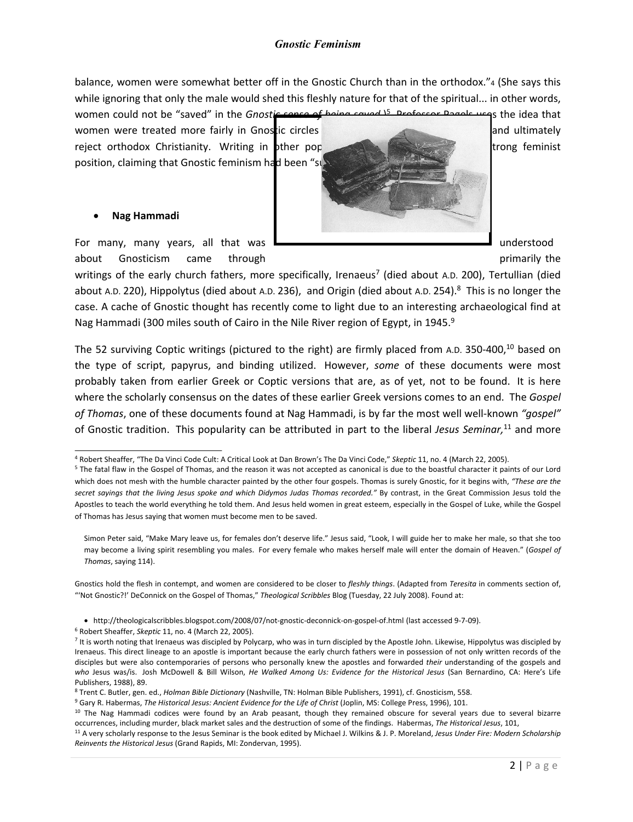balance, women were somewhat better off in the Gnostic Church than in the orthodox."<sup>4</sup> (She says this while ignoring that only the male would shed this fleshly nature for that of the spiritual... in other words, women could not be "saved" in the *Gnostic sense of being saved*.)<sup>5</sup> Professor Pagels uses the idea that

women were treated more fairly in Gnostic circles and attack and ultimately reject orthodox Christianity. Writing in other popular venues, Pagels has trong feminist position, claiming that Gnostic feminism had been "sup



#### **Nag Hammadi**

For many, many years, all that was **Let all as a set of the many** understood about Gnosticism came through primarily the primarily the

writings of the early church fathers, more specifically, Irenaeus<sup>7</sup> (died about A.D. 200), Tertullian (died about A.D. 220), Hippolytus (died about A.D. 236), and Origin (died about A.D. 254).<sup>8</sup> This is no longer the case. A cache of Gnostic thought has recently come to light due to an interesting archaeological find at Nag Hammadi (300 miles south of Cairo in the Nile River region of Egypt, in 1945.<sup>9</sup>

The 52 surviving Coptic writings (pictured to the right) are firmly placed from A.D. 350-400,<sup>10</sup> based on the type of script, papyrus, and binding utilized. However, *some* of these documents were most probably taken from earlier Greek or Coptic versions that are, as of yet, not to be found. It is here where the scholarly consensus on the dates of these earlier Greek versions comes to an end. The *Gospel of Thomas*, one of these documents found at Nag Hammadi, is by far the most well well-known *"gospel"* of Gnostic tradition. This popularity can be attributed in part to the liberal *Jesus Seminar,*<sup>11</sup> and more

<sup>4</sup> Robert Sheaffer, "The Da Vinci Code Cult: A Critical Look at Dan Brown's The Da Vinci Code," *Skeptic* 11, no. 4 (March 22, 2005).

<sup>&</sup>lt;sup>5</sup> The fatal flaw in the Gospel of Thomas, and the reason it was not accepted as canonical is due to the boastful character it paints of our Lord which does not mesh with the humble character painted by the other four gospels. Thomas is surely Gnostic, for it begins with, *"These are the secret sayings that the living Jesus spoke and which Didymos Judas Thomas recorded."* By contrast, in the Great Commission Jesus told the Apostles to teach the world everything he told them. And Jesus held women in great esteem, especially in the Gospel of Luke, while the Gospel of Thomas has Jesus saying that women must become men to be saved.

Simon Peter said, "Make Mary leave us, for females don't deserve life." Jesus said, "Look, I will guide her to make her male, so that she too may become a living spirit resembling you males. For every female who makes herself male will enter the domain of Heaven." (*Gospel of Thomas*, saying 114).

Gnostics hold the flesh in contempt, and women are considered to be closer to *fleshly things*. (Adapted from *Teresita* in comments section of, "'Not Gnostic?!' DeConnick on the Gospel of Thomas," *Theological Scribbles* Blog (Tuesday, 22 July 2008). Found at:

http://theologicalscribbles.blogspot.com/2008/07/not-gnostic-deconnick-on-gospel-of.html (last accessed 9-7-09).

<sup>6</sup> Robert Sheaffer, *Skeptic* 11, no. 4 (March 22, 2005).

<sup>&</sup>lt;sup>7</sup> It is worth noting that Irenaeus was discipled by Polycarp, who was in turn discipled by the Apostle John. Likewise, Hippolytus was discipled by Irenaeus. This direct lineage to an apostle is important because the early church fathers were in possession of not only written records of the disciples but were also contemporaries of persons who personally knew the apostles and forwarded *their* understanding of the gospels and *who* Jesus was/is. Josh McDowell & Bill Wilson, *He Walked Among Us: Evidence for the Historical Jesus* (San Bernardino, CA: Here's Life Publishers, 1988), 89.

<sup>8</sup> Trent C. Butler, gen. ed., *Holman Bible Dictionary* (Nashville, TN: Holman Bible Publishers, 1991), cf. Gnosticism, 558.

<sup>9</sup> Gary R. Habermas, *The Historical Jesus: Ancient Evidence for the Life of Christ* (Joplin, MS: College Press, 1996), 101.

<sup>&</sup>lt;sup>10</sup> The Nag Hammadi codices were found by an Arab peasant, though they remained obscure for several years due to several bizarre occurrences, including murder, black market sales and the destruction of some of the findings. Habermas, *The Historical Jesus*, 101,

<sup>11</sup> A very scholarly response to the Jesus Seminar is the book edited by Michael J. Wilkins & J. P. Moreland, *Jesus Under Fire: Modern Scholarship Reinvents the Historical Jesus* (Grand Rapids, MI: Zondervan, 1995).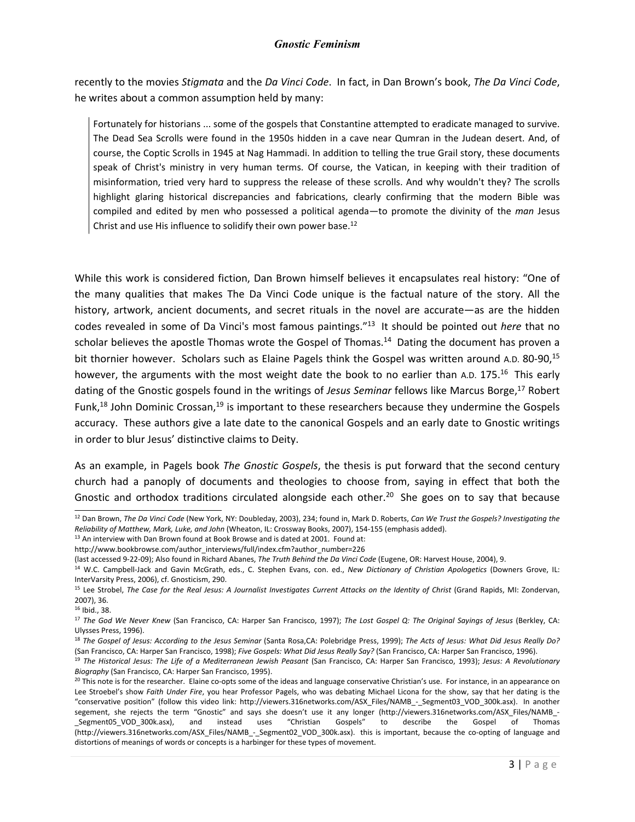recently to the movies *Stigmata* and the *Da Vinci Code*. In fact, in Dan Brown's book, *The Da Vinci Code*, he writes about a common assumption held by many:

Fortunately for historians ... some of the gospels that Constantine attempted to eradicate managed to survive. The Dead Sea Scrolls were found in the 1950s hidden in a cave near Qumran in the Judean desert. And, of course, the Coptic Scrolls in 1945 at Nag Hammadi. In addition to telling the true Grail story, these documents speak of Christ's ministry in very human terms. Of course, the Vatican, in keeping with their tradition of misinformation, tried very hard to suppress the release of these scrolls. And why wouldn't they? The scrolls highlight glaring historical discrepancies and fabrications, clearly confirming that the modern Bible was compiled and edited by men who possessed a political agenda—to promote the divinity of the *man* Jesus Christ and use His influence to solidify their own power base.<sup>12</sup>

While this work is considered fiction, Dan Brown himself believes it encapsulates real history: "One of the many qualities that makes The Da Vinci Code unique is the factual nature of the story. All the history, artwork, ancient documents, and secret rituals in the novel are accurate—as are the hidden codes revealed in some of Da Vinci's most famous paintings."<sup>13</sup> It should be pointed out *here* that no scholar believes the apostle Thomas wrote the Gospel of Thomas.<sup>14</sup> Dating the document has proven a bit thornier however. Scholars such as Elaine Pagels think the Gospel was written around A.D. 80-90,<sup>15</sup> however, the arguments with the most weight date the book to no earlier than A.D. 175.<sup>16</sup> This early dating of the Gnostic gospels found in the writings of *Jesus Seminar* fellows like Marcus Borge,<sup>17</sup> Robert Funk,<sup>18</sup> John Dominic Crossan,<sup>19</sup> is important to these researchers because they undermine the Gospels accuracy. These authors give a late date to the canonical Gospels and an early date to Gnostic writings in order to blur Jesus' distinctive claims to Deity.

As an example, in Pagels book *The Gnostic Gospels*, the thesis is put forward that the second century church had a panoply of documents and theologies to choose from, saying in effect that both the Gnostic and orthodox traditions circulated alongside each other.<sup>20</sup> She goes on to say that because

<sup>16</sup> Ibid., 38.

<sup>12</sup> Dan Brown, *The Da Vinci Code* (New York, NY: Doubleday, 2003), 234; found in, Mark D. Roberts, *Can We Trust the Gospels? Investigating the Reliability of Matthew, Mark, Luke, and John* (Wheaton, IL: Crossway Books, 2007), 154-155 (emphasis added).

<sup>&</sup>lt;sup>13</sup> An interview with Dan Brown found at Book Browse and is dated at 2001. Found at:

http://www.bookbrowse.com/author\_interviews/full/index.cfm?author\_number=226

<sup>(</sup>last accessed 9-22-09); Also found in Richard Abanes, *The Truth Behind the Da Vinci Code* (Eugene, OR: Harvest House, 2004), 9.

<sup>14</sup> W.C. Campbell-Jack and Gavin McGrath, eds., C. Stephen Evans, con. ed., *New Dictionary of Christian Apologetics* (Downers Grove, IL: InterVarsity Press, 2006), cf. Gnosticism, 290.

<sup>&</sup>lt;sup>15</sup> Lee Strobel, *The Case for the Real Jesus: A Journalist Investigates Current Attacks on the Identity of Christ (Grand Rapids, MI: Zondervan,* 2007), 36.

<sup>17</sup> *The God We Never Knew* (San Francisco, CA: Harper San Francisco, 1997); *The Lost Gospel Q: The Original Sayings of Jesus* (Berkley, CA: Ulysses Press, 1996).

<sup>18</sup> *The Gospel of Jesus: According to the Jesus Seminar* (Santa Rosa,CA: Polebridge Press, 1999); *The Acts of Jesus: What Did Jesus Really Do?* (San Francisco, CA: Harper San Francisco, 1998); *Five Gospels: What Did Jesus Really Say?* (San Francisco, CA: Harper San Francisco, 1996).

<sup>19</sup> *The Historical Jesus: The Life of a Mediterranean Jewish Peasant* (San Francisco, CA: Harper San Francisco, 1993); *Jesus: A Revolutionary Biography* (San Francisco, CA: Harper San Francisco, 1995).

 $^{20}$  This note is for the researcher. Elaine co-opts some of the ideas and language conservative Christian's use. For instance, in an appearance on Lee Stroebel's show *Faith Under Fire*, you hear Professor Pagels, who was debating Michael Licona for the show, say that her dating is the "conservative position" (follow this video link: http://viewers.316networks.com/ASX\_Files/NAMB\_-\_Segment03\_VOD\_300k.asx). In another segement, she rejects the term "Gnostic" and says she doesn't use it any longer (http://viewers.316networks.com/ASX\_Files/NAMB\_- \_Segment05\_VOD\_300k.asx), and instead uses "Christian Gospels" to describe the Gospel of Thomas (http://viewers.316networks.com/ASX\_Files/NAMB\_-\_Segment02\_VOD\_300k.asx). this is important, because the co-opting of language and distortions of meanings of words or concepts is a harbinger for these types of movement.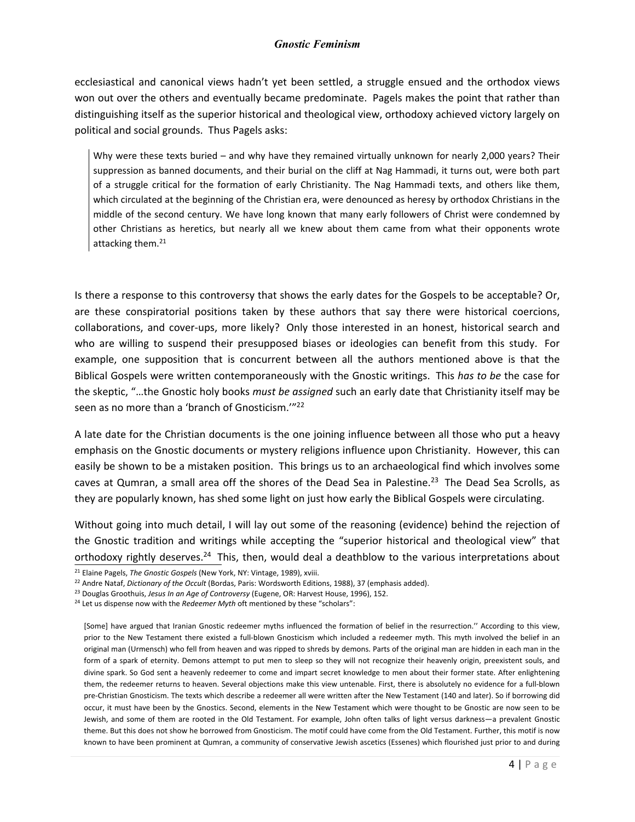ecclesiastical and canonical views hadn't yet been settled, a struggle ensued and the orthodox views won out over the others and eventually became predominate. Pagels makes the point that rather than distinguishing itself as the superior historical and theological view, orthodoxy achieved victory largely on political and social grounds. Thus Pagels asks:

Why were these texts buried – and why have they remained virtually unknown for nearly 2,000 years? Their suppression as banned documents, and their burial on the cliff at Nag Hammadi, it turns out, were both part of a struggle critical for the formation of early Christianity. The Nag Hammadi texts, and others like them, which circulated at the beginning of the Christian era, were denounced as heresy by orthodox Christians in the middle of the second century. We have long known that many early followers of Christ were condemned by other Christians as heretics, but nearly all we knew about them came from what their opponents wrote attacking them.<sup>21</sup>

Is there a response to this controversy that shows the early dates for the Gospels to be acceptable? Or, are these conspiratorial positions taken by these authors that say there were historical coercions, collaborations, and cover-ups, more likely? Only those interested in an honest, historical search and who are willing to suspend their presupposed biases or ideologies can benefit from this study. For example, one supposition that is concurrent between all the authors mentioned above is that the Biblical Gospels were written contemporaneously with the Gnostic writings. This *has to be* the case for the skeptic, "…the Gnostic holy books *must be assigned* such an early date that Christianity itself may be seen as no more than a 'branch of Gnosticism.'"<sup>22</sup>

A late date for the Christian documents is the one joining influence between all those who put a heavy emphasis on the Gnostic documents or mystery religions influence upon Christianity. However, this can easily be shown to be a mistaken position. This brings us to an archaeological find which involves some caves at Qumran, a small area off the shores of the Dead Sea in Palestine.<sup>23</sup> The Dead Sea Scrolls, as they are popularly known, has shed some light on just how early the Biblical Gospels were circulating.

Without going into much detail, I will lay out some of the reasoning (evidence) behind the rejection of the Gnostic tradition and writings while accepting the "superior historical and theological view" that orthodoxy rightly deserves.<sup>24</sup> This, then, would deal a deathblow to the various interpretations about

<sup>21</sup> Elaine Pagels, *The Gnostic Gospels* (New York, NY: Vintage, 1989), xviii.

<sup>22</sup> Andre Nataf, *Dictionary of the Occult* (Bordas, Paris: Wordsworth Editions, 1988), 37 (emphasis added).

<sup>23</sup> Douglas Groothuis, *Jesus In an Age of Controversy* (Eugene, OR: Harvest House, 1996), 152.

<sup>&</sup>lt;sup>24</sup> Let us dispense now with the *Redeemer Myth* oft mentioned by these "scholars":

<sup>[</sup>Some] have argued that Iranian Gnostic redeemer myths influenced the formation of belief in the resurrection.'' According to this view, prior to the New Testament there existed a full-blown Gnosticism which included a redeemer myth. This myth involved the belief in an original man (Urmensch) who fell from heaven and was ripped to shreds by demons. Parts of the original man are hidden in each man in the form of a spark of eternity. Demons attempt to put men to sleep so they will not recognize their heavenly origin, preexistent souls, and divine spark. So God sent a heavenly redeemer to come and impart secret knowledge to men about their former state. After enlightening them, the redeemer returns to heaven. Several objections make this view untenable. First, there is absolutely no evidence for a full-blown pre-Christian Gnosticism. The texts which describe a redeemer all were written after the New Testament (140 and later). So if borrowing did occur, it must have been by the Gnostics. Second, elements in the New Testament which were thought to be Gnostic are now seen to be Jewish, and some of them are rooted in the Old Testament. For example, John often talks of light versus darkness—a prevalent Gnostic theme. But this does not show he borrowed from Gnosticism. The motif could have come from the Old Testament. Further, this motif is now known to have been prominent at Qumran, a community of conservative Jewish ascetics (Essenes) which flourished just prior to and during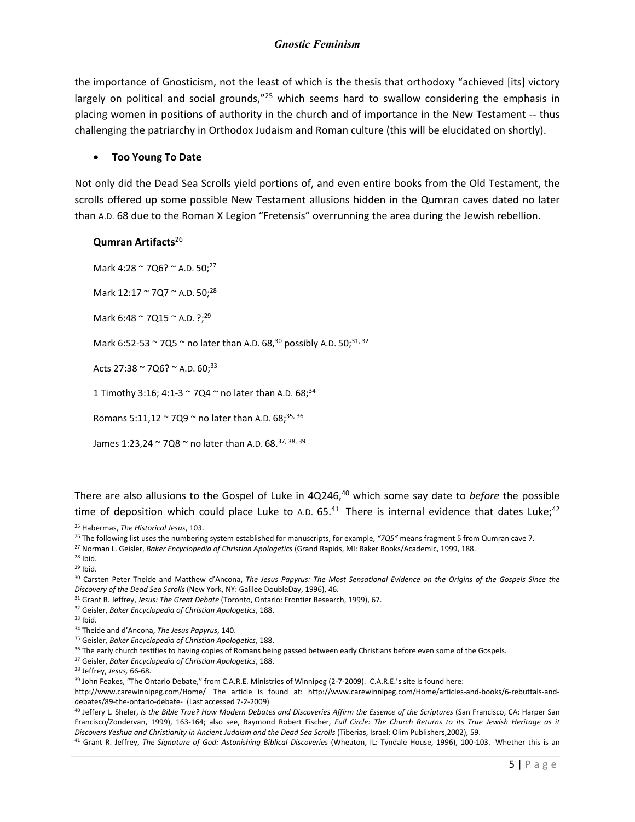the importance of Gnosticism, not the least of which is the thesis that orthodoxy "achieved [its] victory largely on political and social grounds,"<sup>25</sup> which seems hard to swallow considering the emphasis in placing women in positions of authority in the church and of importance in the New Testament -- thus challenging the patriarchy in Orthodox Judaism and Roman culture (this will be elucidated on shortly).

## **Too Young To Date**

Not only did the Dead Sea Scrolls yield portions of, and even entire books from the Old Testament, the scrolls offered up some possible New Testament allusions hidden in the Qumran caves dated no later than A.D. 68 due to the Roman X Legion "Fretensis" overrunning the area during the Jewish rebellion.

# **Qumran Artifacts**<sup>26</sup>

Mark 4:28  $\sim$  7Q6?  $\sim$  A.D. 50;<sup>27</sup> Mark 12:17 ~ 7Q7 ~ A.D. 50:<sup>28</sup> Mark 6:48  $\sim$  7015  $\sim$  A.D. ?: <sup>29</sup> Mark 6:52-53  $\sim$  7Q5  $\sim$  no later than A.D. 68,<sup>30</sup> possibly A.D. 50;<sup>31, 32</sup> Acts 27:38  $\sim$  7Q6?  $\sim$  A.D. 60;<sup>33</sup> 1 Timothy 3:16; 4:1-3  $\sim$  7Q4  $\sim$  no later than A.D. 68;<sup>34</sup> Romans 5:11,12  $\sim$  7Q9  $\sim$  no later than A.D. 68;<sup>35, 36</sup> James 1:23,24  $\sim$  7Q8  $\sim$  no later than A.D. 68.<sup>37, 38, 39</sup>

There are also allusions to the Gospel of Luke in 4Q246,<sup>40</sup> which some say date to *before* the possible time of deposition which could place Luke to A.D.  $65.^{41}$  There is internal evidence that dates Luke;<sup>42</sup>

<sup>25</sup> Habermas, *The Historical Jesus*, 103.

<sup>26</sup> The following list uses the numbering system established for manuscripts, for example, *"7Q5"* means fragment 5 from Qumran cave 7.

<sup>27</sup> Norman L. Geisler, *Baker Encyclopedia of Christian Apologetics* (Grand Rapids, MI: Baker Books/Academic, 1999, 188.

<sup>28</sup> Ibid.

<sup>29</sup> Ibid.

<sup>30</sup> Carsten Peter Theide and Matthew d'Ancona, *The Jesus Papyrus: The Most Sensational Evidence on the Origins of the Gospels Since the Discovery of the Dead Sea Scrolls* (New York, NY: Galilee DoubleDay, 1996), 46.

<sup>31</sup> Grant R. Jeffrey, *Jesus: The Great Debate* (Toronto, Ontario: Frontier Research, 1999), 67.

<sup>32</sup> Geisler, *Baker Encyclopedia of Christian Apologetics*, 188.

 $33$  Ibid.

<sup>34</sup> Theide and d'Ancona, *The Jesus Papyrus*, 140.

<sup>35</sup> Geisler, *Baker Encyclopedia of Christian Apologetics*, 188.

<sup>&</sup>lt;sup>36</sup> The early church testifies to having copies of Romans being passed between early Christians before even some of the Gospels.

<sup>37</sup> Geisler, *Baker Encyclopedia of Christian Apologetics*, 188.

<sup>38</sup> Jeffrey, *Jesus,* 66-68.

<sup>&</sup>lt;sup>39</sup> John Feakes, "The Ontario Debate," from C.A.R.E. Ministries of Winnipeg (2-7-2009). C.A.R.E.'s site is found here:

http://www.carewinnipeg.com/Home/ The article is found at: http://www.carewinnipeg.com/Home/articles-and-books/6-rebuttals-anddebates/89-the-ontario-debate- (Last accessed 7-2-2009)

<sup>40</sup> Jeffery L. Sheler, *Is the Bible True? How Modern Debates and Discoveries Affirm the Essence of the Scriptures* (San Francisco, CA: Harper San Francisco/Zondervan, 1999), 163-164; also see, Raymond Robert Fischer, *Full Circle: The Church Returns to its True Jewish Heritage as it Discovers Yeshua and Christianity in Ancient Judaism and the Dead Sea Scrolls* (Tiberias, Israel: Olim Publishers,2002), 59.

<sup>41</sup> Grant R. Jeffrey, *The Signature of God: Astonishing Biblical Discoveries* (Wheaton, IL: Tyndale House, 1996), 100-103. Whether this is an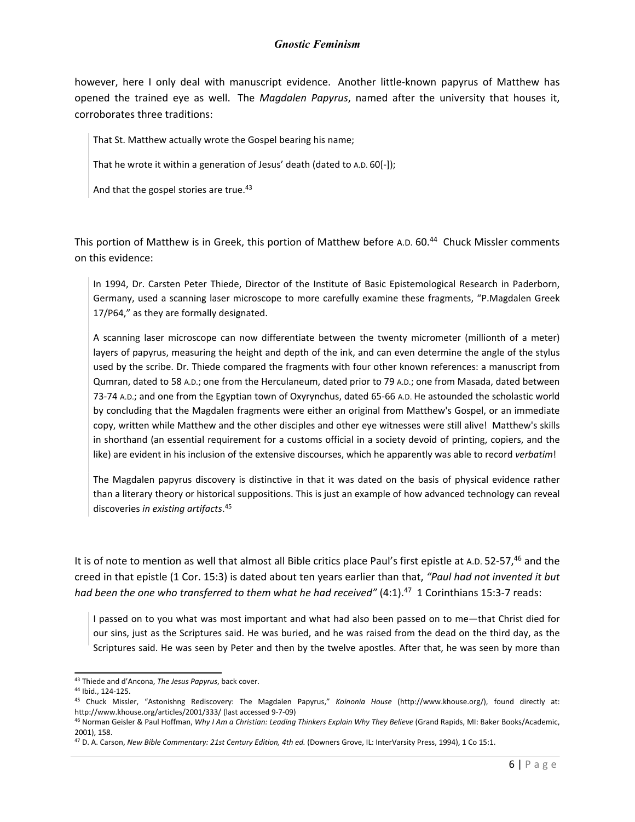however, here I only deal with manuscript evidence. Another little-known papyrus of Matthew has opened the trained eye as well. The *Magdalen Papyrus*, named after the university that houses it, corroborates three traditions:

That St. Matthew actually wrote the Gospel bearing his name;

That he wrote it within a generation of Jesus' death (dated to A.D. 60[-]);

And that the gospel stories are true.<sup>43</sup>

This portion of Matthew is in Greek, this portion of Matthew before A.D. 60.<sup>44</sup> Chuck Missler comments on this evidence:

In 1994, Dr. Carsten Peter Thiede, Director of the Institute of Basic Epistemological Research in Paderborn, Germany, used a scanning laser microscope to more carefully examine these fragments, "P.Magdalen Greek 17/P64," as they are formally designated.

A scanning laser microscope can now differentiate between the twenty micrometer (millionth of a meter) layers of papyrus, measuring the height and depth of the ink, and can even determine the angle of the stylus used by the scribe. Dr. Thiede compared the fragments with four other known references: a manuscript from Qumran, dated to 58 A.D.; one from the Herculaneum, dated prior to 79 A.D.; one from Masada, dated between 73-74 A.D.; and one from the Egyptian town of Oxyrynchus, dated 65-66 A.D. He astounded the scholastic world by concluding that the Magdalen fragments were either an original from Matthew's Gospel, or an immediate copy, written while Matthew and the other disciples and other eye witnesses were still alive! Matthew's skills in shorthand (an essential requirement for a customs official in a society devoid of printing, copiers, and the like) are evident in his inclusion of the extensive discourses, which he apparently was able to record *verbatim*!

The Magdalen papyrus discovery is distinctive in that it was dated on the basis of physical evidence rather than a literary theory or historical suppositions. This is just an example of how advanced technology can reveal discoveries *in existing artifacts*. 45

It is of note to mention as well that almost all Bible critics place Paul's first epistle at A.D. 52-57,<sup>46</sup> and the creed in that epistle (1 Cor. 15:3) is dated about ten years earlier than that, *"Paul had not invented it but had been the one who transferred to them what he had received"* (4:1).<sup>47</sup> 1 Corinthians 15:3-7 reads:

I passed on to you what was most important and what had also been passed on to me—that Christ died for our sins, just as the Scriptures said. He was buried, and he was raised from the dead on the third day, as the Scriptures said. He was seen by Peter and then by the twelve apostles. After that, he was seen by more than

<sup>43</sup> Thiede and d'Ancona, *The Jesus Papyrus*, back cover.

<sup>44</sup> Ibid., 124-125.

<sup>45</sup> Chuck Missler, "Astonishng Rediscovery: The Magdalen Papyrus," *Koinonia House* (http://www.khouse.org/), found directly at: http://www.khouse.org/articles/2001/333/ (last accessed 9-7-09)

<sup>46</sup> Norman Geisler & Paul Hoffman, *Why I Am a Christian: Leading Thinkers Explain Why They Believe* (Grand Rapids, MI: Baker Books/Academic, 2001), 158.

<sup>47</sup> D. A. Carson, *New Bible Commentary: 21st Century Edition, 4th ed.* (Downers Grove, IL: InterVarsity Press, 1994), 1 Co 15:1.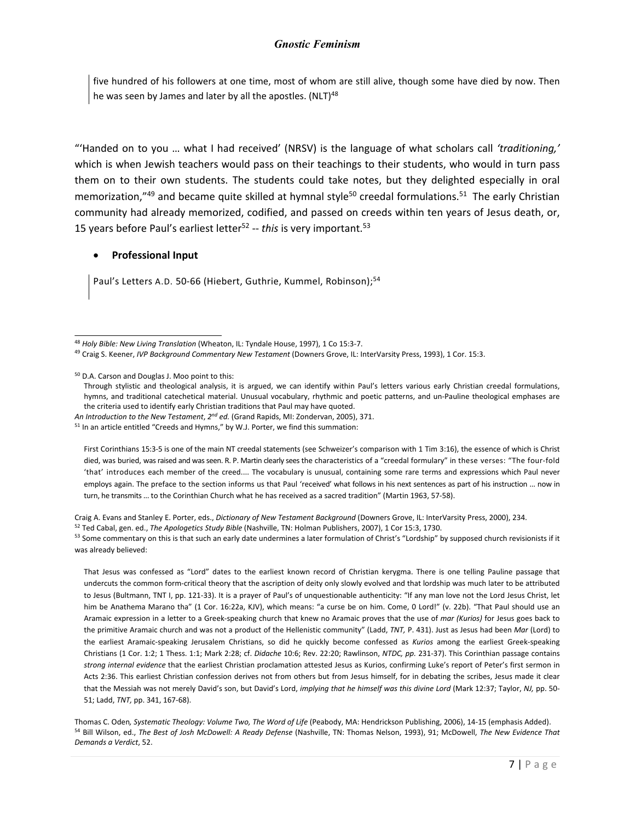five hundred of his followers at one time, most of whom are still alive, though some have died by now. Then he was seen by James and later by all the apostles. (NLT)<sup>48</sup>

"'Handed on to you … what I had received' (NRSV) is the language of what scholars call *'traditioning,'* which is when Jewish teachers would pass on their teachings to their students, who would in turn pass them on to their own students. The students could take notes, but they delighted especially in oral memorization,"<sup>49</sup> and became quite skilled at hymnal style<sup>50</sup> creedal formulations.<sup>51</sup> The early Christian community had already memorized, codified, and passed on creeds within ten years of Jesus death, or, 15 years before Paul's earliest letter<sup>52</sup> -- *this* is very important.<sup>53</sup>

#### **Professional Input**

Paul's Letters A.D. 50-66 (Hiebert, Guthrie, Kummel, Robinson);<sup>54</sup>

<sup>49</sup> Craig S. Keener, *IVP Background Commentary New Testament* (Downers Grove, IL: InterVarsity Press, 1993), 1 Cor. 15:3.

<sup>50</sup> D.A. Carson and Douglas J. Moo point to this:

Through stylistic and theological analysis, it is argued, we can identify within Paul's letters various early Christian creedal formulations, hymns, and traditional catechetical material. Unusual vocabulary, rhythmic and poetic patterns, and un-Pauline theological emphases are the criteria used to identify early Christian traditions that Paul may have quoted.

First Corinthians 15:3-5 is one of the main NT creedal statements (see Schweizer's comparison with 1 Tim 3:16), the essence of which is Christ died, was buried, was raised and was seen. R. P. Martin clearly seesthe characteristics of a "creedal formulary" in these verses: "The four-fold 'that' introduces each member of the creed.... The vocabulary is unusual, containing some rare terms and expressions which Paul never employs again. The preface to the section informs us that Paul 'received' what follows in his next sentences as part of his instruction ... now in turn, he transmits ... to the Corinthian Church what he has received as a sacred tradition" (Martin 1963, 57-58).

Craig A. Evans and Stanley E. Porter, eds., *Dictionary of New Testament Background* (Downers Grove, IL: InterVarsity Press, 2000), 234.

<sup>52</sup> Ted Cabal, gen. ed., *The Apologetics Study Bible* (Nashville, TN: Holman Publishers, 2007), 1 Cor 15:3, 1730.

53 Some commentary on this is that such an early date undermines a later formulation of Christ's "Lordship" by supposed church revisionists if it was already believed:

That Jesus was confessed as "Lord" dates to the earliest known record of Christian kerygma. There is one telling Pauline passage that undercuts the common form-critical theory that the ascription of deity only slowly evolved and that lordship was much later to be attributed to Jesus (Bultmann, TNT I, pp. 121-33). It is a prayer of Paul's of unquestionable authenticity: "If any man love not the Lord Jesus Christ, let him be Anathema Marano tha" (1 Cor. 16:22a, KJV), which means: "a curse be on him. Come, 0 Lord!" (v. 22b). "That Paul should use an Aramaic expression in a letter to a Greek-speaking church that knew no Aramaic proves that the use of *mar (Kurios)* for Jesus goes back to the primitive Aramaic church and was not a product of the Hellenistic community" (Ladd, *TNT,* P. 431). Just as Jesus had been *Mar* (Lord) to the earliest Aramaic-speaking Jerusalem Christians, so did he quickly become confessed as *Kurios* among the earliest Greek-speaking Christians (1 Cor. 1:2; 1 Thess. 1:1; Mark 2:28; cf. *Didache* 10:6; Rev. 22:20; Rawlinson, *NTDC, pp.* 231-37). This Corinthian passage contains *strong internal evidence* that the earliest Christian proclamation attested Jesus as Kurios, confirming Luke's report of Peter's first sermon in Acts 2:36. This earliest Christian confession derives not from others but from Jesus himself, for in debating the scribes, Jesus made it clear that the Messiah was not merely David's son, but David's Lord, *implying that he himself was this divine Lord* (Mark 12:37; Taylor, *NJ,* pp. 50- 51; Ladd, *TNT,* pp. 341, 167-68).

<sup>48</sup> *Holy Bible: New Living Translation* (Wheaton, IL: Tyndale House, 1997), 1 Co 15:3-7.

An Introduction to the New Testament, 2<sup>nd</sup> ed. (Grand Rapids, MI: Zondervan, 2005), 371.

<sup>&</sup>lt;sup>51</sup> In an article entitled "Creeds and Hymns," by W.J. Porter, we find this summation:

Thomas C. Oden*, Systematic Theology: Volume Two, The Word of Life* (Peabody, MA: Hendrickson Publishing, 2006), 14-15 (emphasis Added). <sup>54</sup> Bill Wilson, ed., *The Best of Josh McDowell: A Ready Defense* (Nashville, TN: Thomas Nelson, 1993), 91; McDowell, *The New Evidence That Demands a Verdict*, 52.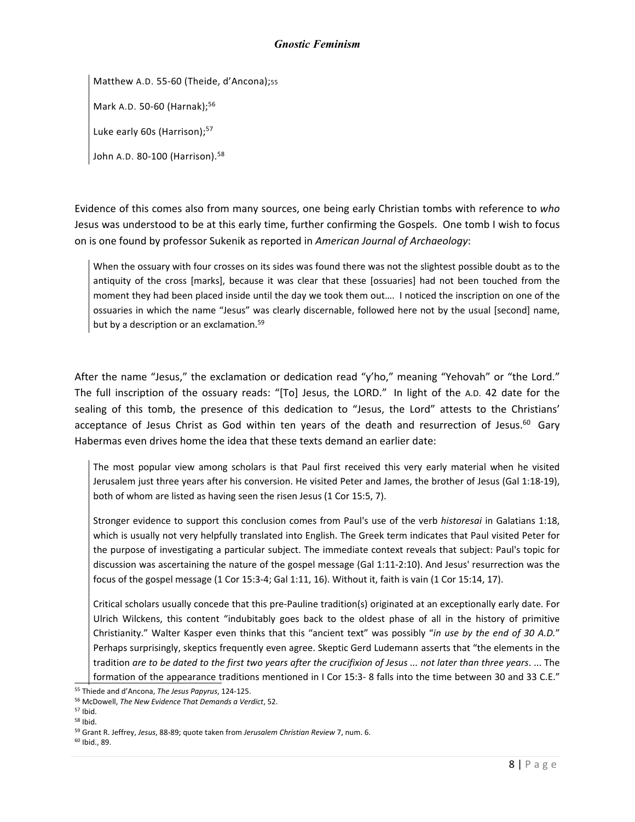Matthew A.D. 55-60 (Theide, d'Ancona);55

Mark A.D. 50-60 (Harnak);<sup>56</sup>

Luke early 60s (Harrison);<sup>57</sup>

John A.D. 80-100 (Harrison).<sup>58</sup>

Evidence of this comes also from many sources, one being early Christian tombs with reference to *who* Jesus was understood to be at this early time, further confirming the Gospels. One tomb I wish to focus on is one found by professor Sukenik as reported in *American Journal of Archaeology*:

When the ossuary with four crosses on its sides was found there was not the slightest possible doubt as to the antiquity of the cross [marks], because it was clear that these [ossuaries] had not been touched from the moment they had been placed inside until the day we took them out…. I noticed the inscription on one of the ossuaries in which the name "Jesus" was clearly discernable, followed here not by the usual [second] name, but by a description or an exclamation.<sup>59</sup>

After the name "Jesus," the exclamation or dedication read "y'ho," meaning "Yehovah" or "the Lord." The full inscription of the ossuary reads: "[To] Jesus, the LORD." In light of the A.D. 42 date for the sealing of this tomb, the presence of this dedication to "Jesus, the Lord" attests to the Christians' acceptance of Jesus Christ as God within ten years of the death and resurrection of Jesus.<sup>60</sup> Gary Habermas even drives home the idea that these texts demand an earlier date:

The most popular view among scholars is that Paul first received this very early material when he visited Jerusalem just three years after his conversion. He visited Peter and James, the brother of Jesus (Gal 1:18-19), both of whom are listed as having seen the risen Jesus (1 Cor 15:5, 7).

Stronger evidence to support this conclusion comes from Paul's use of the verb *historesai* in Galatians 1:18, which is usually not very helpfully translated into English. The Greek term indicates that Paul visited Peter for the purpose of investigating a particular subject. The immediate context reveals that subject: Paul's topic for discussion was ascertaining the nature of the gospel message (Gal 1:11-2:10). And Jesus' resurrection was the focus of the gospel message (1 Cor 15:3-4; Gal 1:11, 16). Without it, faith is vain (1 Cor 15:14, 17).

Critical scholars usually concede that this pre-Pauline tradition(s) originated at an exceptionally early date. For Ulrich Wilckens, this content "indubitably goes back to the oldest phase of all in the history of primitive Christianity." Walter Kasper even thinks that this "ancient text" was possibly "*in use by the end of 30 A.D.*" Perhaps surprisingly, skeptics frequently even agree. Skeptic Gerd Ludemann asserts that "the elements in the tradition *are to be dated to the first two years after the crucifixion of Jesus ... not later than three years*. ... The formation of the appearance traditions mentioned in I Cor 15:3- 8 falls into the time between 30 and 33 C.E."

<sup>55</sup> Thiede and d'Ancona, *The Jesus Papyrus*, 124-125.

<sup>56</sup> McDowell, *The New Evidence That Demands a Verdict*, 52.

<sup>57</sup> Ibid.

<sup>58</sup> Ibid.

<sup>59</sup> Grant R. Jeffrey, *Jesus*, 88-89; quote taken from *Jerusalem Christian Review* 7, num. 6.

<sup>60</sup> Ibid., 89.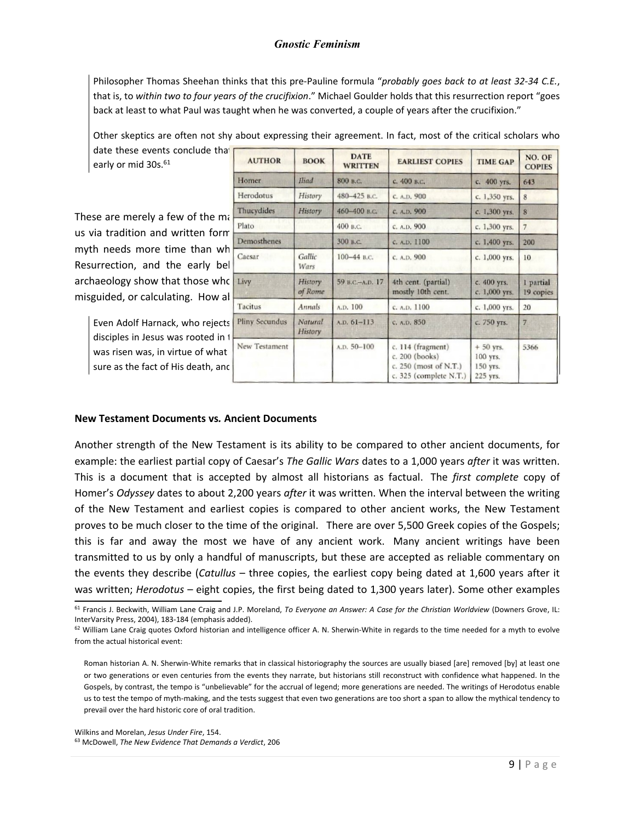Philosopher Thomas Sheehan thinks that this pre-Pauline formula "*probably goes back to at least 32-34 C.E.*, that is, to *within two to four years of the crucifixion*." Michael Goulder holds that this resurrection report "goes back at least to what Paul was taught when he was converted, a couple of years after the crucifixion."

Other skeptics are often not shy about expressing their agreement. In fact, most of the critical scholars who date these events conclude that

These are merely a few of the ma us via tradition and written form myth needs more time than wh Resurrection, and the early be archaeology show that those who misguided, or calculating. How all

early or mid 30s.<sup>61</sup>

Even Adolf Harnack, who rejects disciples in Jesus was rooted in was risen was, in virtue of what sure as the fact of His death, and

| <b>AUTHOR</b>                    | <b>BOOK</b>               | <b>DATE</b><br><b>WRITTEN</b>                                                            | <b>EARLIEST COPIES</b>                         | <b>TIME GAP</b>              | NO. OF<br><b>COPIES</b> |  |
|----------------------------------|---------------------------|------------------------------------------------------------------------------------------|------------------------------------------------|------------------------------|-------------------------|--|
| Homer<br><b>Hiad</b><br>800 в.с. |                           | c. 400 B.C.                                                                              | c. 400 yrs.                                    | 643                          |                         |  |
| Herodotus                        | History                   | 480-425 B.C.                                                                             | c. A.D. 900                                    | c. 1,350 yrs.                | 8                       |  |
| Thucydides                       | History                   | 460-400 в.с.                                                                             | C. A.D. 900                                    | c. 1,300 yrs.                | 8                       |  |
| Plato                            |                           | 400 в.с.                                                                                 | C. A.D. 900                                    | c. 1,300 yrs.                | $\overline{7}$          |  |
| Demosthenes                      |                           | 300 в.с.                                                                                 | c. A.D. 1100                                   | c. 1,400 yrs.                | 200                     |  |
| Caesar                           | Gallic<br>Wars            | 100-44 в.с.                                                                              | C. A.D. 900                                    | c. 1,000 vrs.                | 10                      |  |
| Livy                             | History<br>of Rome        | 59 B.C.-A.D. 17                                                                          | 4th cent. (partial)<br>mostly 10th cent.       | c. 400 yrs.<br>c. 1,000 yrs. | I partial<br>19 copies  |  |
| Tacitus                          | Annals                    | A.D. 100                                                                                 | c. A.D. 1100                                   | c. 1,000 yrs.                | 20                      |  |
| <b>Pliny Secundus</b>            | Natural<br><b>History</b> | $A.D. 61-113$                                                                            | c. A.D. 850                                    | c. 750 yrs.                  | $\overline{7}$          |  |
| New Testament<br>$A.D. 50-100$   |                           | c. 114 (fragment)<br>c. 200 (books)<br>c. 250 (most of N.T.)<br>c. $325$ (complete N.T.) | $+50$ yrs.<br>100 yrs.<br>150 yrs.<br>225 yrs. | 5366                         |                         |  |

#### **New Testament Documents vs***.* **Ancient Documents**

Another strength of the New Testament is its ability to be compared to other ancient documents, for example: the earliest partial copy of Caesar's *The Gallic Wars* dates to a 1,000 years *after* it was written. This is a document that is accepted by almost all historians as factual. The *first complete* copy of Homer's *Odyssey* dates to about 2,200 years *after* it was written. When the interval between the writing of the New Testament and earliest copies is compared to other ancient works, the New Testament proves to be much closer to the time of the original. There are over 5,500 Greek copies of the Gospels; this is far and away the most we have of any ancient work. Many ancient writings have been transmitted to us by only a handful of manuscripts, but these are accepted as reliable commentary on the events they describe (*Catullus* – three copies, the earliest copy being dated at 1,600 years after it was written; *Herodotus* – eight copies, the first being dated to 1,300 years later). Some other examples

<sup>61</sup> Francis J. Beckwith, William Lane Craig and J.P. Moreland, *To Everyone an Answer: A Case for the Christian Worldview* (Downers Grove, IL: InterVarsity Press, 2004), 183-184 (emphasis added).

 $62$  William Lane Craig quotes Oxford historian and intelligence officer A. N. Sherwin-White in regards to the time needed for a myth to evolve from the actual historical event:

Roman historian A. N. Sherwin-White remarks that in classical historiography the sources are usually biased [are] removed [by] at least one or two generations or even centuries from the events they narrate, but historians still reconstruct with confidence what happened. In the Gospels, by contrast, the tempo is "unbelievable" for the accrual of legend; more generations are needed. The writings of Herodotus enable us to test the tempo of myth-making, and the tests suggest that even two generations are too short a span to allow the mythical tendency to prevail over the hard historic core of oral tradition.

Wilkins and Morelan, *Jesus Under Fire*, 154.

<sup>63</sup> McDowell, *The New Evidence That Demands a Verdict*, 206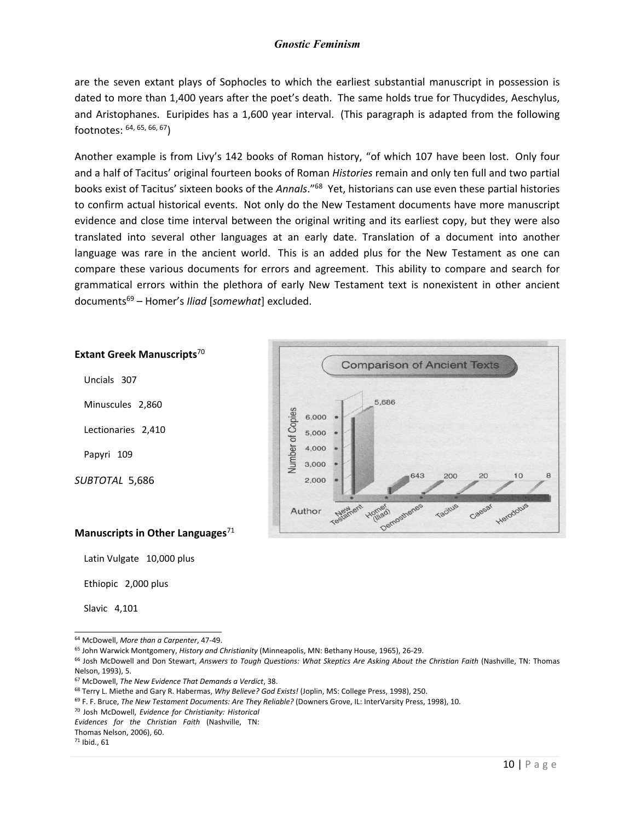are the seven extant plays of Sophocles to which the earliest substantial manuscript in possession is dated to more than 1,400 years after the poet's death. The same holds true for Thucydides, Aeschylus, and Aristophanes. Euripides has a 1,600 year interval. (This paragraph is adapted from the following footnotes: 64, 65, 66, 67)

Another example is from Livy's 142 books of Roman history, "of which 107 have been lost. Only four and a half of Tacitus' original fourteen books of Roman *Histories* remain and only ten full and two partial books exist of Tacitus' sixteen books of the *Annals*."<sup>68</sup> Yet, historians can use even these partial histories to confirm actual historical events. Not only do the New Testament documents have more manuscript evidence and close time interval between the original writing and its earliest copy, but they were also translated into several other languages at an early date. Translation of a document into another language was rare in the ancient world. This is an added plus for the New Testament as one can compare these various documents for errors and agreement. This ability to compare and search for grammatical errors within the plethora of early New Testament text is nonexistent in other ancient documents<sup>69</sup> – Homer's *Iliad* [*somewhat*] excluded.



## **Manuscripts in Other Languages**<sup>71</sup>

Latin Vulgate 10,000 plus

Ethiopic 2,000 plus

Slavic 4,101

<sup>64</sup> McDowell, *More than a Carpenter*, 47-49.

<sup>65</sup> John Warwick Montgomery, *History and Christianity* (Minneapolis, MN: Bethany House, 1965), 26-29.

<sup>&</sup>lt;sup>66</sup> Josh McDowell and Don Stewart, Answers to Tough Questions: What Skeptics Are Asking About the Christian Faith (Nashville, TN: Thomas Nelson, 1993), 5.

<sup>67</sup> McDowell, *The New Evidence That Demands a Verdict*, 38.

<sup>68</sup> Terry L. Miethe and Gary R. Habermas, *Why Believe? God Exists!* (Joplin, MS: College Press, 1998), 250.

<sup>69</sup> F. F. Bruce, *The New Testament Documents: Are They Reliable?* (Downers Grove, IL: InterVarsity Press, 1998), 10.

<sup>70</sup> Josh McDowell, *Evidence for Christianity: Historical*

*Evidences for the Christian Faith* (Nashville, TN:

Thomas Nelson, 2006), 60.

<sup>71</sup> Ibid., 61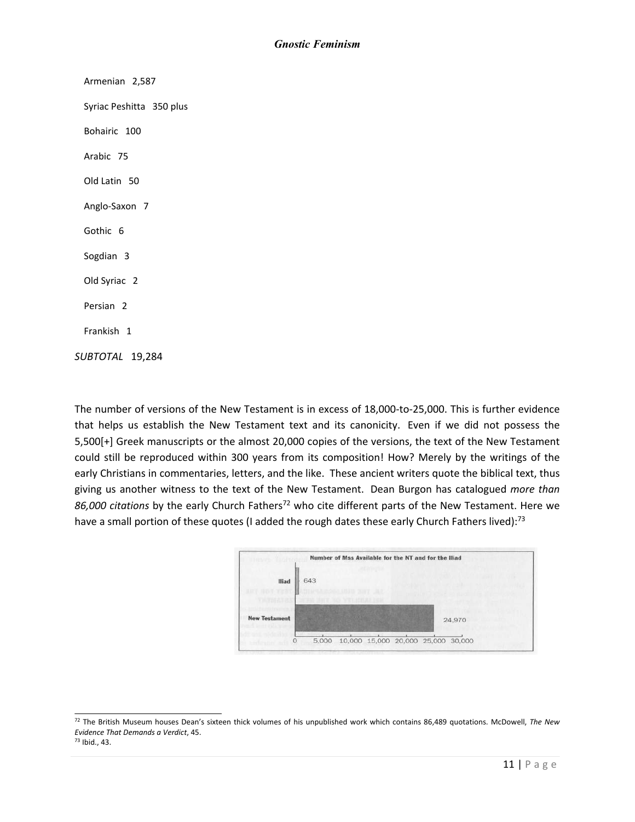Armenian 2,587 Syriac Peshitta 350 plus Bohairic 100 Arabic 75 Old Latin 50 Anglo-Saxon 7 Gothic 6 Sogdian 3 Old Syriac 2 Persian 2 Frankish 1 *SUBTOTAL* 19,284

The number of versions of the New Testament is in excess of 18,000-to-25,000. This is further evidence that helps us establish the New Testament text and its canonicity. Even if we did not possess the 5,500[+] Greek manuscripts or the almost 20,000 copies of the versions, the text of the New Testament could still be reproduced within 300 years from its composition! How? Merely by the writings of the early Christians in commentaries, letters, and the like. These ancient writers quote the biblical text, thus giving us another witness to the text of the New Testament. Dean Burgon has catalogued *more than* 86,000 citations by the early Church Fathers<sup>72</sup> who cite different parts of the New Testament. Here we have a small portion of these quotes (I added the rough dates these early Church Fathers lived):<sup>73</sup>



<sup>72</sup> The British Museum houses Dean's sixteen thick volumes of his unpublished work which contains 86,489 quotations. McDowell, *The New Evidence That Demands a Verdict*, 45. <sup>73</sup> Ibid., 43.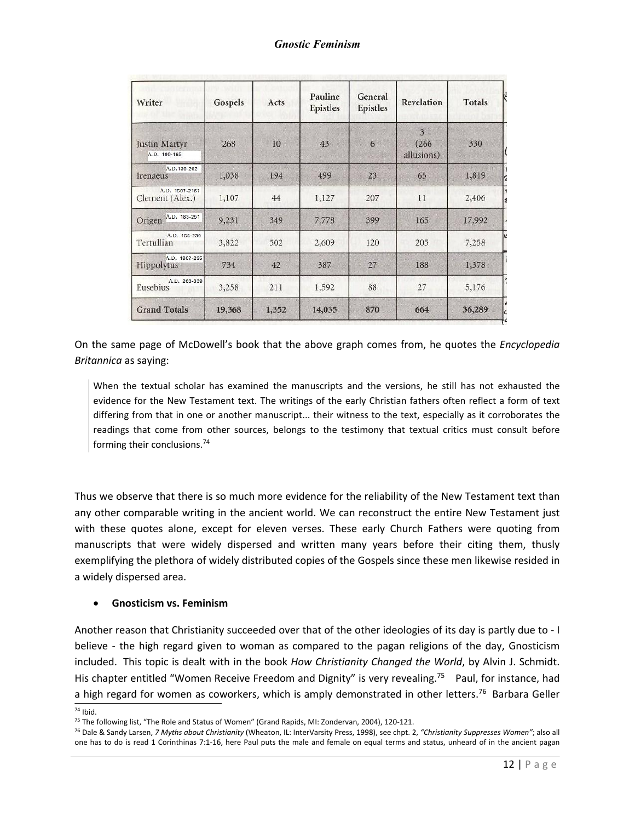| Writer                            | Gospels | Acts  | Pauline<br>Epistles | General<br>Epistles | Revelation                            | Totals |  |
|-----------------------------------|---------|-------|---------------------|---------------------|---------------------------------------|--------|--|
| Justin Martyr<br>A.D. 100-165     | 268     | 10    | 43                  | 6                   | $\overline{3}$<br>(266)<br>allusions) | 330    |  |
| A.D.130-202<br>Irenaeus           | 1,038   | 194   | 499                 | 23                  | 65                                    | 1,819  |  |
| A.D. 1507-2167<br>Clement (Alex.) | 1,107   | 44    | 1,127               | 207                 | 11                                    | 2,406  |  |
| Origen A.D. 183-251               | 9,231   | 349   | 7,778               | 399                 | 165                                   | 17,992 |  |
| A.D. 155-230<br>Tertullian        | 3,822   | 502   | 2,609               | 120                 | 205                                   | 7,258  |  |
| A.D. 1807-235<br>Hippolytus       | 734     | 42    | 387                 | 27                  | 188                                   | 1,378  |  |
| A.D. 263-339<br>Eusebius          | 3,258   | 211   | 1,592               | 88                  | 27                                    | 5,176  |  |
| <b>Grand Totals</b>               | 19,368  | 1,352 | 14,035              | 870                 | 664                                   | 36,289 |  |

On the same page of McDowell's book that the above graph comes from, he quotes the *Encyclopedia Britannica* as saying:

When the textual scholar has examined the manuscripts and the versions, he still has not exhausted the evidence for the New Testament text. The writings of the early Christian fathers often reflect a form of text differing from that in one or another manuscript... their witness to the text, especially as it corroborates the readings that come from other sources, belongs to the testimony that textual critics must consult before forming their conclusions.<sup>74</sup>

Thus we observe that there is so much more evidence for the reliability of the New Testament text than any other comparable writing in the ancient world. We can reconstruct the entire New Testament just with these quotes alone, except for eleven verses. These early Church Fathers were quoting from manuscripts that were widely dispersed and written many years before their citing them, thusly exemplifying the plethora of widely distributed copies of the Gospels since these men likewise resided in a widely dispersed area.

## **Gnosticism vs. Feminism**

Another reason that Christianity succeeded over that of the other ideologies of its day is partly due to - I believe - the high regard given to woman as compared to the pagan religions of the day, Gnosticism included. This topic is dealt with in the book *How Christianity Changed the World*, by Alvin J. Schmidt. His chapter entitled "Women Receive Freedom and Dignity" is very revealing.<sup>75</sup> Paul, for instance, had a high regard for women as coworkers, which is amply demonstrated in other letters.<sup>76</sup> Barbara Geller

<sup>74</sup> Ibid.

<sup>&</sup>lt;sup>75</sup> The following list, "The Role and Status of Women" (Grand Rapids, MI: Zondervan, 2004), 120-121.

<sup>76</sup> Dale & Sandy Larsen, *7 Myths about Christianity* (Wheaton, IL: InterVarsity Press, 1998), see chpt. 2, *"Christianity Suppresses Women"*; also all one has to do is read 1 Corinthinas 7:1-16, here Paul puts the male and female on equal terms and status, unheard of in the ancient pagan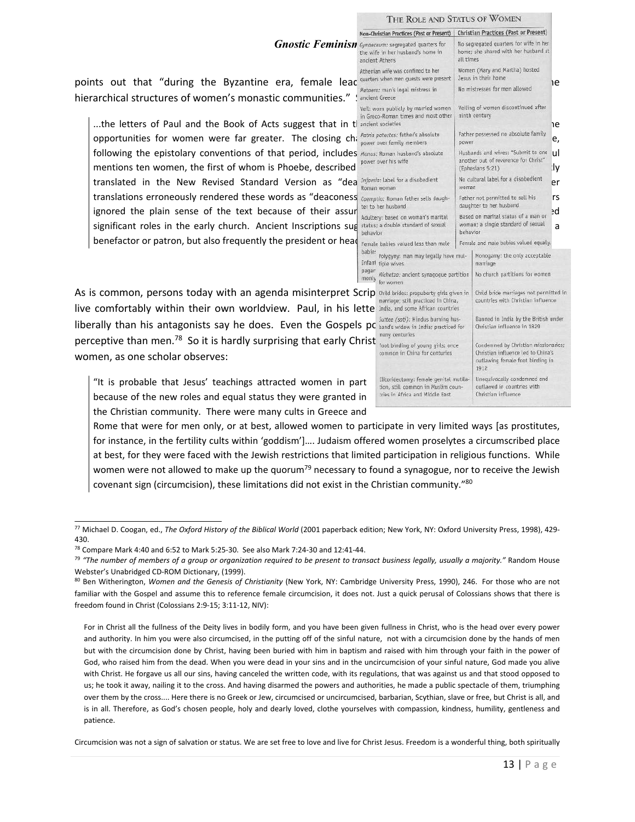# THE ROLE AND STATUS OF WOMEN

e (Past or Prosent) | Christian Practices (Past or Present)

# *Gnostic Feminism*

points out that "during the Byzantine era, female leadership was exercised and the set hierarchical structures of women's monastic communities."

...the letters of Paul and the Book of Acts suggest that in thange opportunities for women were far greater. The closing chapter  $\frac{Pat}{\sqrt{Rat}}$ following the epistolary conventions of that period, includes  $M_{0}$ mentions ten women, the first of whom is Phoebe, described translated in the New Revised Standard Version as "dea $\frac{Im}{n}$ translations erroneously rendered these words as "deaconess come ignored the plain sense of the text because of their assur significant roles in the early church. Ancient Inscriptions sug sta benefactor or patron, but also frequently the president or head

As is common, persons today with an agenda misinterpret Scripture to bolster a political political political po live comfortably within their own worldview. Paul, in his lett liberally than his antagonists say he does. Even the Gospels p perceptive than men.<sup>78</sup> So it is hardly surprising that early Christian women, as one scholar observes:

"It is probable that Jesus' teachings attracted women in part because of the new roles and equal status they were granted in the Christian community. There were many cults in Greece and

Rome that were for men only, or at best, allowed women to participate in very limited ways [as prostitutes, for instance, in the fertility cults within 'goddism']…. Judaism offered women proselytes a circumscribed place at best, for they were faced with the Jewish restrictions that limited participation in religious functions. While women were not allowed to make up the quorum<sup>79</sup> necessary to found a synagogue, nor to receive the Jewish covenant sign (circumcision), these limitations did not exist in the Christian community."<sup>80</sup>

Inf pa  $mc$ 

Circumcision was not a sign of salvation or status. We are set free to love and live for Christ Jesus. Freedom is a wonderful thing, both spiritually

|                                                                              | CHILIDRIGHT & HACKHOOD (TIDDE OF A HOODING)                                                                                |                                                                                                                       |                                                                                                  |  |  |  |
|------------------------------------------------------------------------------|----------------------------------------------------------------------------------------------------------------------------|-----------------------------------------------------------------------------------------------------------------------|--------------------------------------------------------------------------------------------------|--|--|--|
|                                                                              | receum: segregated quarters for<br>wife in her husband's home in<br>ent Athens                                             | No segregated quarters for wife in her<br>home; she shared with her husband at<br>all times                           |                                                                                                  |  |  |  |
|                                                                              | nian wife was confined to her<br>ters when men guests were present                                                         | Women (Mary and Martha) hosted<br>Jesus in their home<br>١e                                                           |                                                                                                  |  |  |  |
|                                                                              | <i>aera: man's legal mistress in</i><br>ent Greece                                                                         | No mistresses for men allowed                                                                                         |                                                                                                  |  |  |  |
|                                                                              | worn publicly by married women<br>reco-Roman times and most other<br>ent societies                                         | Veiling of women discontinued after<br>ninth century<br>٦e                                                            |                                                                                                  |  |  |  |
|                                                                              | ia potestas: father's absolute<br>er over family members                                                                   | Father possessed no absolute family<br>power.                                                                         |                                                                                                  |  |  |  |
|                                                                              | us: Roman husband's absolute<br>er over his wife                                                                           | Husbands and wives: "Submit to one<br>another out of reverence for Christ"<br>(Ephesians 5:21)<br>:ly                 |                                                                                                  |  |  |  |
|                                                                              | mia: label for a disobedient.<br>nan woman                                                                                 |                                                                                                                       | No cultural label for a disobedient<br>woman                                                     |  |  |  |
|                                                                              | mptio: Roman father sells daugh-<br>to her husband                                                                         | Father not permitted to sell his<br>ırs<br>daughter to her husband                                                    |                                                                                                  |  |  |  |
| ltery: based on woman's marital<br>tus; a double standard of sexual<br>avior |                                                                                                                            |                                                                                                                       | ٩d<br>Based on marital status of a man or<br>woman; a single standard of sexual<br>a<br>behavior |  |  |  |
|                                                                              | ale babies valued less than male                                                                                           |                                                                                                                       | Female and male babies valued equally.                                                           |  |  |  |
| nes                                                                          | Polygyny: man may legally have mul-<br>ant tiple wives                                                                     | Monogamy: the only acceptable<br>marriage                                                                             |                                                                                                  |  |  |  |
| na<br>nly                                                                    | Michetza: ancient synagogue partition<br>for women                                                                         | No church partitions for women                                                                                        |                                                                                                  |  |  |  |
| el                                                                           | $\rho$ Child brides: prepuberty girls given in<br>marriage; still practiced in China,<br>India, and some African countries | Child bride marriages not permitted i<br>countries with Christian influence                                           |                                                                                                  |  |  |  |
|                                                                              | Suttee (sati): Hindus burning hus-<br>${C}$ band's widow in India; practiced for<br>nany centuries                         | Banned in India by the British under<br>Christian influence in 1829                                                   |                                                                                                  |  |  |  |
| st                                                                           | Foot binding of young girls: once<br>common in China for centuries                                                         | Condemned by Christian missionaries<br>Christian influence led to China's<br>outlawing female foot binding in<br>1912 |                                                                                                  |  |  |  |
|                                                                              | Clitoridectomy: female genital mutila-<br>tion, still common in Muslim coun-<br>when he African and Middle Tour            | Unequivocally condemned and<br>outlawed in countries with<br>Children Influence                                       |                                                                                                  |  |  |  |

<sup>77</sup> Michael D. Coogan, ed., *The Oxford History of the Biblical World* (2001 paperback edition; New York, NY: Oxford University Press, 1998), 429- 430.

<sup>78</sup> Compare Mark 4:40 and 6:52 to Mark 5:25-30. See also Mark 7:24-30 and 12:41-44.

<sup>79</sup> *"The number of members of a group or organization required to be present to transact business legally, usually a majority."* Random House Webster's Unabridged CD-ROM Dictionary, (1999).

<sup>80</sup> Ben Witherington, *Women and the Genesis of Christianity* (New York, NY: Cambridge University Press, 1990), 246. For those who are not familiar with the Gospel and assume this to reference female circumcision, it does not. Just a quick perusal of Colossians shows that there is freedom found in Christ (Colossians 2:9-15; 3:11-12, NIV):

For in Christ all the fullness of the Deity lives in bodily form, and you have been given fullness in Christ, who is the head over every power and authority. In him you were also circumcised, in the putting off of the sinful nature, not with a circumcision done by the hands of men but with the circumcision done by Christ, having been buried with him in baptism and raised with him through your faith in the power of God, who raised him from the dead. When you were dead in your sins and in the uncircumcision of your sinful nature, God made you alive with Christ. He forgave us all our sins, having canceled the written code, with its regulations, that was against us and that stood opposed to us; he took it away, nailing it to the cross. And having disarmed the powers and authorities, he made a public spectacle of them, triumphing over them by the cross.... Here there is no Greek or Jew, circumcised or uncircumcised, barbarian, Scythian, slave or free, but Christ is all, and is in all. Therefore, as God's chosen people, holy and dearly loved, clothe yourselves with compassion, kindness, humility, gentleness and patience.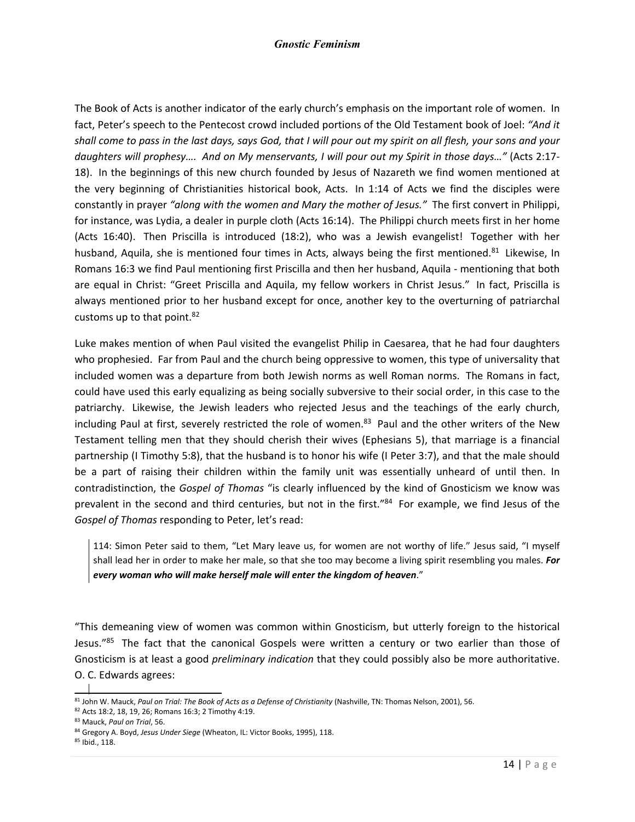The Book of Acts is another indicator of the early church's emphasis on the important role of women. In fact, Peter's speech to the Pentecost crowd included portions of the Old Testament book of Joel: *"And it shall come to pass in the last days, says God, that I will pour out my spirit on all flesh, your sons and your daughters will prophesy…. And on My menservants, I will pour out my Spirit in those days…"* (Acts 2:17- 18). In the beginnings of this new church founded by Jesus of Nazareth we find women mentioned at the very beginning of Christianities historical book, Acts. In 1:14 of Acts we find the disciples were constantly in prayer *"along with the women and Mary the mother of Jesus."* The first convert in Philippi, for instance, was Lydia, a dealer in purple cloth (Acts 16:14). The Philippi church meets first in her home (Acts 16:40). Then Priscilla is introduced (18:2), who was a Jewish evangelist! Together with her husband, Aquila, she is mentioned four times in Acts, always being the first mentioned.<sup>81</sup> Likewise, In Romans 16:3 we find Paul mentioning first Priscilla and then her husband, Aquila - mentioning that both are equal in Christ: "Greet Priscilla and Aquila, my fellow workers in Christ Jesus." In fact, Priscilla is always mentioned prior to her husband except for once, another key to the overturning of patriarchal customs up to that point.<sup>82</sup>

Luke makes mention of when Paul visited the evangelist Philip in Caesarea, that he had four daughters who prophesied. Far from Paul and the church being oppressive to women, this type of universality that included women was a departure from both Jewish norms as well Roman norms. The Romans in fact, could have used this early equalizing as being socially subversive to their social order, in this case to the patriarchy. Likewise, the Jewish leaders who rejected Jesus and the teachings of the early church, including Paul at first, severely restricted the role of women.<sup>83</sup> Paul and the other writers of the New Testament telling men that they should cherish their wives (Ephesians 5), that marriage is a financial partnership (I Timothy 5:8), that the husband is to honor his wife (I Peter 3:7), and that the male should be a part of raising their children within the family unit was essentially unheard of until then. In contradistinction, the *Gospel of Thomas* "is clearly influenced by the kind of Gnosticism we know was prevalent in the second and third centuries, but not in the first."<sup>84</sup> For example, we find Jesus of the *Gospel of Thomas* responding to Peter, let's read:

114: Simon Peter said to them, "Let Mary leave us, for women are not worthy of life." Jesus said, "I myself shall lead her in order to make her male, so that she too may become a living spirit resembling you males. *For every woman who will make herself male will enter the kingdom of heaven*."

"This demeaning view of women was common within Gnosticism, but utterly foreign to the historical Jesus."85 The fact that the canonical Gospels were written a century or two earlier than those of Gnosticism is at least a good *preliminary indication* that they could possibly also be more authoritative. O. C. Edwards agrees:

<sup>81</sup> John W. Mauck, *Paul on Trial: The Book of Acts as a Defense of Christianity* (Nashville, TN: Thomas Nelson, 2001), 56.

<sup>82</sup> Acts 18:2, 18, 19, 26; Romans 16:3; 2 Timothy 4:19.

<sup>83</sup> Mauck, *Paul on Trial*, 56.

<sup>84</sup> Gregory A. Boyd, *Jesus Under Siege* (Wheaton, IL: Victor Books, 1995), 118.

<sup>85</sup> Ibid., 118.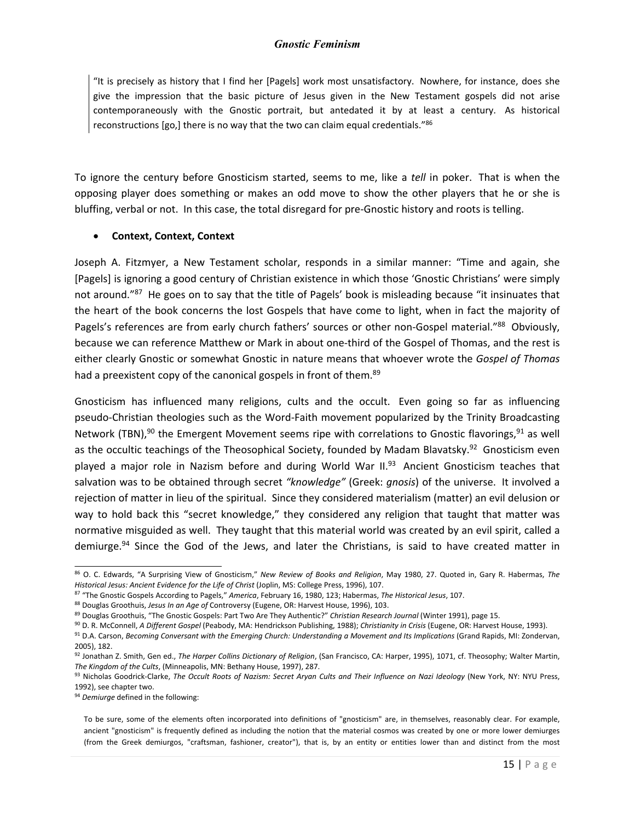"It is precisely as history that I find her [Pagels] work most unsatisfactory. Nowhere, for instance, does she give the impression that the basic picture of Jesus given in the New Testament gospels did not arise contemporaneously with the Gnostic portrait, but antedated it by at least a century. As historical reconstructions [go,] there is no way that the two can claim equal credentials."<sup>86</sup>

To ignore the century before Gnosticism started, seems to me, like a *tell* in poker. That is when the opposing player does something or makes an odd move to show the other players that he or she is bluffing, verbal or not. In this case, the total disregard for pre-Gnostic history and roots is telling.

#### **Context, Context, Context**

Joseph A. Fitzmyer, a New Testament scholar, responds in a similar manner: "Time and again, she [Pagels] is ignoring a good century of Christian existence in which those 'Gnostic Christians' were simply not around."<sup>87</sup> He goes on to say that the title of Pagels' book is misleading because "it insinuates that the heart of the book concerns the lost Gospels that have come to light, when in fact the majority of Pagels's references are from early church fathers' sources or other non-Gospel material."88 Obviously, because we can reference Matthew or Mark in about one-third of the Gospel of Thomas, and the rest is either clearly Gnostic or somewhat Gnostic in nature means that whoever wrote the *Gospel of Thomas* had a preexistent copy of the canonical gospels in front of them.<sup>89</sup>

Gnosticism has influenced many religions, cults and the occult. Even going so far as influencing pseudo-Christian theologies such as the Word-Faith movement popularized by the Trinity Broadcasting Network (TBN),<sup>90</sup> the Emergent Movement seems ripe with correlations to Gnostic flavorings,<sup>91</sup> as well as the occultic teachings of the Theosophical Society, founded by Madam Blavatsky.<sup>92</sup> Gnosticism even played a major role in Nazism before and during World War II.<sup>93</sup> Ancient Gnosticism teaches that salvation was to be obtained through secret *"knowledge"* (Greek: *gnosis*) of the universe. It involved a rejection of matter in lieu of the spiritual. Since they considered materialism (matter) an evil delusion or way to hold back this "secret knowledge," they considered any religion that taught that matter was normative misguided as well. They taught that this material world was created by an evil spirit, called a demiurge.<sup>94</sup> Since the God of the Jews, and later the Christians, is said to have created matter in

<sup>88</sup> Douglas Groothuis, *Jesus In an Age of* Controversy (Eugene, OR: Harvest House, 1996), 103.

<sup>86</sup> O. C. Edwards, "A Surprising View of Gnosticism," *New Review of Books and Religion*, May 1980, 27. Quoted in, Gary R. Habermas, *The Historical Jesus: Ancient Evidence for the Life of Christ* (Joplin, MS: College Press, 1996), 107.

<sup>87</sup> "The Gnostic Gospels According to Pagels," *America*, February 16, 1980, 123; Habermas, *The Historical Jesus*, 107.

<sup>89</sup> Douglas Groothuis, "The Gnostic Gospels: Part Two Are They Authentic?" *Christian Research Journal* (Winter 1991), page 15.

<sup>90</sup> D. R. McConnell, *A Different Gospel* (Peabody, MA: Hendrickson Publishing, 1988); *Christianity in Crisis* (Eugene, OR: Harvest House, 1993).

<sup>91</sup> D.A. Carson, *Becoming Conversant with the Emerging Church: Understanding a Movement and Its Implications* (Grand Rapids, MI: Zondervan, 2005), 182.

<sup>92</sup> Jonathan Z. Smith, Gen ed., *The Harper Collins Dictionary of Religion*, (San Francisco, CA: Harper, 1995), 1071, cf. Theosophy; Walter Martin, *The Kingdom of the Cults*, (Minneapolis, MN: Bethany House, 1997), 287.

<sup>93</sup> Nicholas Goodrick-Clarke, *The Occult Roots of Nazism: Secret Aryan Cults and Their Influence on Nazi Ideology* (New York, NY: NYU Press, 1992), see chapter two.

<sup>94</sup> *Demiurge* defined in the following:

To be sure, some of the elements often incorporated into definitions of "gnosticism" are, in themselves, reasonably clear. For example, ancient "gnosticism" is frequently defined as including the notion that the material cosmos was created by one or more lower demiurges (from the Greek demiurgos, "craftsman, fashioner, creator"), that is, by an entity or entities lower than and distinct from the most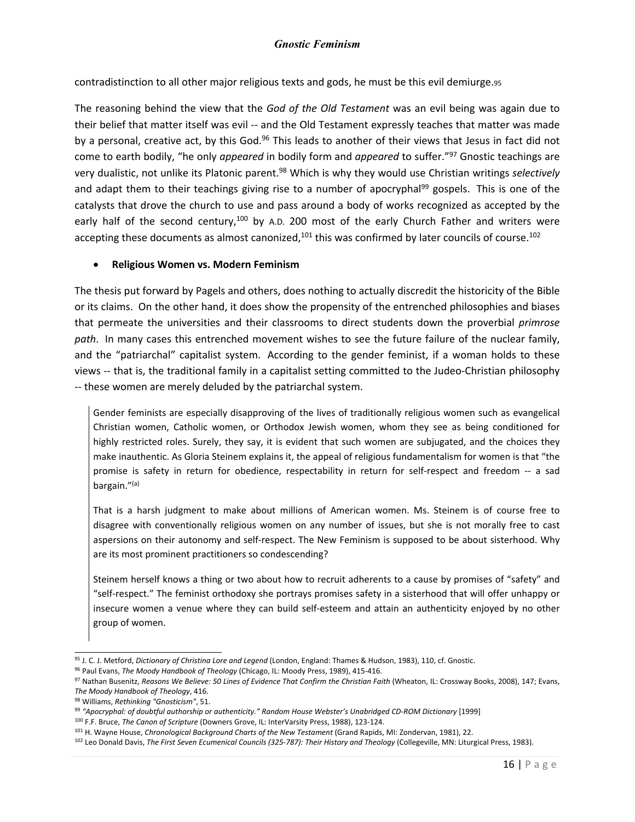contradistinction to all other major religious texts and gods, he must be this evil demiurge.<sup>95</sup>

The reasoning behind the view that the *God of the Old Testament* was an evil being was again due to their belief that matter itself was evil -- and the Old Testament expressly teaches that matter was made by a personal, creative act, by this God.<sup>96</sup> This leads to another of their views that Jesus in fact did not come to earth bodily, "he only *appeared* in bodily form and *appeared* to suffer."<sup>97</sup> Gnostic teachings are very dualistic, not unlike its Platonic parent.<sup>98</sup> Which is why they would use Christian writings *selectively* and adapt them to their teachings giving rise to a number of apocryphal<sup>99</sup> gospels. This is one of the catalysts that drove the church to use and pass around a body of works recognized as accepted by the early half of the second century,<sup>100</sup> by A.D. 200 most of the early Church Father and writers were accepting these documents as almost canonized, $101$  this was confirmed by later councils of course. $102$ 

#### **Religious Women vs. Modern Feminism**

The thesis put forward by Pagels and others, does nothing to actually discredit the historicity of the Bible or its claims. On the other hand, it does show the propensity of the entrenched philosophies and biases that permeate the universities and their classrooms to direct students down the proverbial *primrose path*. In many cases this entrenched movement wishes to see the future failure of the nuclear family, and the "patriarchal" capitalist system. According to the gender feminist, if a woman holds to these views -- that is, the traditional family in a capitalist setting committed to the Judeo-Christian philosophy -- these women are merely deluded by the patriarchal system.

Gender feminists are especially disapproving of the lives of traditionally religious women such as evangelical Christian women, Catholic women, or Orthodox Jewish women, whom they see as being conditioned for highly restricted roles. Surely, they say, it is evident that such women are subjugated, and the choices they make inauthentic. As Gloria Steinem explains it, the appeal of religious fundamentalism for women is that "the promise is safety in return for obedience, respectability in return for self-respect and freedom -- a sad bargain."(a)

That is a harsh judgment to make about millions of American women. Ms. Steinem is of course free to disagree with conventionally religious women on any number of issues, but she is not morally free to cast aspersions on their autonomy and self-respect. The New Feminism is supposed to be about sisterhood. Why are its most prominent practitioners so condescending?

Steinem herself knows a thing or two about how to recruit adherents to a cause by promises of "safety" and "self-respect." The feminist orthodoxy she portrays promises safety in a sisterhood that will offer unhappy or insecure women a venue where they can build self-esteem and attain an authenticity enjoyed by no other group of women.

<sup>95</sup> J. C. J. Metford, *Dictionary of Christina Lore and Legend* (London, England: Thames & Hudson, 1983), 110, cf. Gnostic.

<sup>96</sup> Paul Evans, *The Moody Handbook of Theology* (Chicago, IL: Moody Press, 1989), 415-416.

<sup>97</sup> Nathan Busenitz, Reasons We Believe: 50 Lines of Evidence That Confirm the Christian Faith (Wheaton, IL: Crossway Books, 2008), 147; Evans, *The Moody Handbook of Theology*, 416.

<sup>98</sup> Williams, *Rethinking "Gnosticism"*, 51.

<sup>99</sup> *"Apocryphal: of doubtful authorship or authenticity." Random House Webster's Unabridged CD-ROM Dictionary* [1999]

<sup>100</sup> F.F. Bruce, *The Canon of Scripture* (Downers Grove, IL: InterVarsity Press, 1988), 123-124.

<sup>101</sup> H. Wayne House, *Chronological Background Charts of the New Testament* (Grand Rapids, MI: Zondervan, 1981), 22.

<sup>102</sup> Leo Donald Davis, *The First Seven Ecumenical Councils (325-787): Their History and Theology* (Collegeville, MN: Liturgical Press, 1983).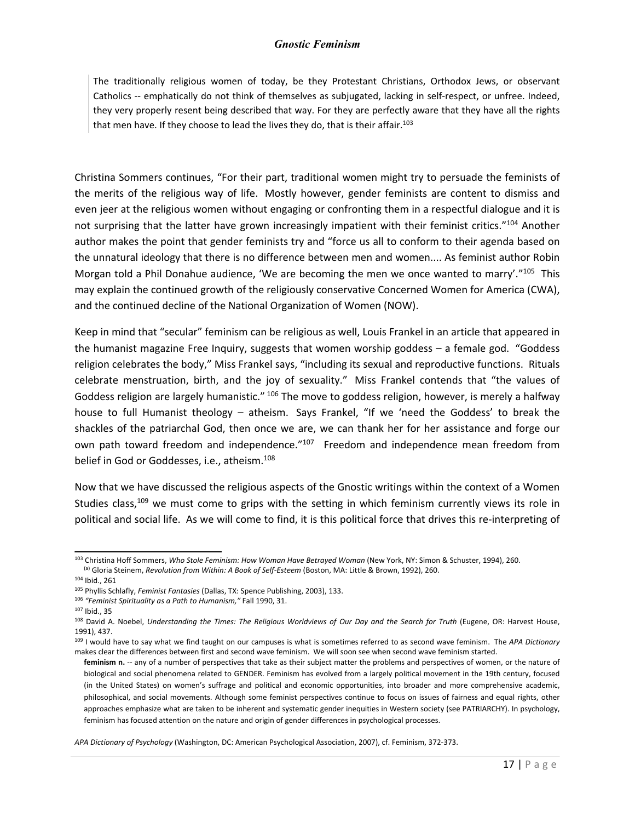The traditionally religious women of today, be they Protestant Christians, Orthodox Jews, or observant Catholics -- emphatically do not think of themselves as subjugated, lacking in self-respect, or unfree. Indeed, they very properly resent being described that way. For they are perfectly aware that they have all the rights that men have. If they choose to lead the lives they do, that is their affair.<sup>103</sup>

Christina Sommers continues, "For their part, traditional women might try to persuade the feminists of the merits of the religious way of life. Mostly however, gender feminists are content to dismiss and even jeer at the religious women without engaging or confronting them in a respectful dialogue and it is not surprising that the latter have grown increasingly impatient with their feminist critics."104 Another author makes the point that gender feminists try and "force us all to conform to their agenda based on the unnatural ideology that there is no difference between men and women.... As feminist author Robin Morgan told a Phil Donahue audience, 'We are becoming the men we once wanted to marry'."105 This may explain the continued growth of the religiously conservative Concerned Women for America (CWA), and the continued decline of the National Organization of Women (NOW).

Keep in mind that "secular" feminism can be religious as well, Louis Frankel in an article that appeared in the humanist magazine Free Inquiry, suggests that women worship goddess – a female god. "Goddess religion celebrates the body," Miss Frankel says, "including its sexual and reproductive functions. Rituals celebrate menstruation, birth, and the joy of sexuality." Miss Frankel contends that "the values of Goddess religion are largely humanistic." <sup>106</sup> The move to goddess religion, however, is merely a halfway house to full Humanist theology – atheism. Says Frankel, "If we 'need the Goddess' to break the shackles of the patriarchal God, then once we are, we can thank her for her assistance and forge our own path toward freedom and independence."<sup>107</sup> Freedom and independence mean freedom from belief in God or Goddesses, i.e., atheism.<sup>108</sup>

Now that we have discussed the religious aspects of the Gnostic writings within the context of a Women Studies class,<sup>109</sup> we must come to grips with the setting in which feminism currently views its role in political and social life. As we will come to find, it is this political force that drives this re-interpreting of

<sup>103</sup> Christina Hoff Sommers, *Who Stole Feminism: How Woman Have Betrayed Woman* (New York, NY: Simon & Schuster, 1994), 260. (a) Gloria Steinem, *Revolution from Within: A Book of Self-Esteem* (Boston, MA: Little & Brown, 1992), 260.

<sup>104</sup> Ibid., 261

<sup>105</sup> Phyllis Schlafly, *Feminist Fantasies* (Dallas, TX: Spence Publishing, 2003), 133.

<sup>106</sup> *"Feminist Spirituality as a Path to Humanism,"* Fall 1990, 31.

<sup>107</sup> Ibid., 35

<sup>108</sup> David A. Noebel, *Understanding the Times: The Religious Worldviews of Our Day and the Search for Truth* (Eugene, OR: Harvest House, 1991), 437.

<sup>109</sup> I would have to say what we find taught on our campuses is what is sometimes referred to as second wave feminism. The *APA Dictionary* makes clear the differences between first and second wave feminism. We will soon see when second wave feminism started.

**feminism n.** -- any of a number of perspectives that take as their subject matter the problems and perspectives of women, or the nature of biological and social phenomena related to GENDER. Feminism has evolved from a largely political movement in the 19th century, focused (in the United States) on women's suffrage and political and economic opportunities, into broader and more comprehensive academic, philosophical, and social movements. Although some feminist perspectives continue to focus on issues of fairness and equal rights, other approaches emphasize what are taken to be inherent and systematic gender inequities in Western society (see PATRIARCHY). In psychology, feminism has focused attention on the nature and origin of gender differences in psychological processes.

*APA Dictionary of Psychology* (Washington, DC: American Psychological Association, 2007), cf. Feminism, 372-373.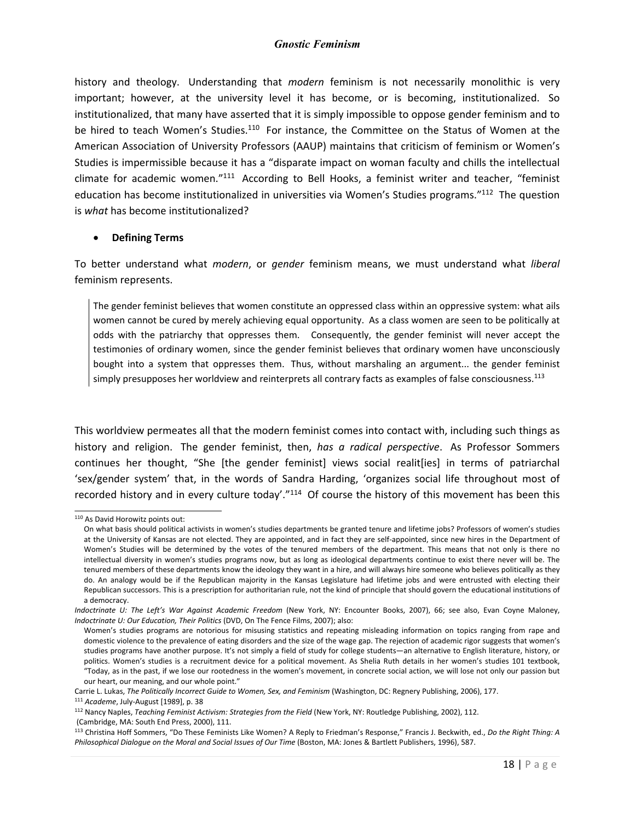history and theology. Understanding that *modern* feminism is not necessarily monolithic is very important; however, at the university level it has become, or is becoming, institutionalized. So institutionalized, that many have asserted that it is simply impossible to oppose gender feminism and to be hired to teach Women's Studies.<sup>110</sup> For instance, the Committee on the Status of Women at the American Association of University Professors (AAUP) maintains that criticism of feminism or Women's Studies is impermissible because it has a "disparate impact on woman faculty and chills the intellectual climate for academic women."<sup>111</sup> According to Bell Hooks, a feminist writer and teacher, "feminist education has become institutionalized in universities via Women's Studies programs."<sup>112</sup> The question is *what* has become institutionalized?

#### **Defining Terms**

To better understand what *modern*, or *gender* feminism means, we must understand what *liberal* feminism represents.

The gender feminist believes that women constitute an oppressed class within an oppressive system: what ails women cannot be cured by merely achieving equal opportunity. As a class women are seen to be politically at odds with the patriarchy that oppresses them. Consequently, the gender feminist will never accept the testimonies of ordinary women, since the gender feminist believes that ordinary women have unconsciously bought into a system that oppresses them. Thus, without marshaling an argument... the gender feminist simply presupposes her worldview and reinterprets all contrary facts as examples of false consciousness.<sup>113</sup>

This worldview permeates all that the modern feminist comes into contact with, including such things as history and religion. The gender feminist, then, *has a radical perspective*. As Professor Sommers continues her thought, "She [the gender feminist] views social realit[ies] in terms of patriarchal 'sex/gender system' that, in the words of Sandra Harding, 'organizes social life throughout most of recorded history and in every culture today'."<sup>114</sup> Of course the history of this movement has been this

<sup>110</sup> As David Horowitz points out:

On what basis should political activists in women's studies departments be granted tenure and lifetime jobs? Professors of women's studies at the University of Kansas are not elected. They are appointed, and in fact they are self-appointed, since new hires in the Department of Women's Studies will be determined by the votes of the tenured members of the department. This means that not only is there no intellectual diversity in women's studies programs now, but as long as ideological departments continue to exist there never will be. The tenured members of these departments know the ideology they want in a hire, and will always hire someone who believes politically as they do. An analogy would be if the Republican majority in the Kansas Legislature had lifetime jobs and were entrusted with electing their Republican successors. This is a prescription for authoritarian rule, not the kind of principle that should govern the educational institutions of a democracy.

*Indoctrinate U: The Left's War Against Academic Freedom* (New York, NY: Encounter Books, 2007), 66; see also, Evan Coyne Maloney, *Indoctrinate U: Our Education, Their Politics* (DVD, On The Fence Films, 2007); also:

Women's studies programs are notorious for misusing statistics and repeating misleading information on topics ranging from rape and domestic violence to the prevalence of eating disorders and the size of the wage gap. The rejection of academic rigor suggests that women's studies programs have another purpose. It's not simply a field of study for college students—an alternative to English literature, history, or politics. Women's studies is a recruitment device for a political movement. As Shelia Ruth details in her women's studies 101 textbook, "Today, as in the past, if we lose our rootedness in the women's movement, in concrete social action, we will lose not only our passion but our heart, our meaning, and our whole point."

Carrie L. Lukas, *The Politically Incorrect Guide to Women, Sex, and Feminism* (Washington, DC: Regnery Publishing, 2006), 177. <sup>111</sup> *Academe*, July-August [1989], p. 38

<sup>112</sup> Nancy Naples, *Teaching Feminist Activism: Strategies from the Field* (New York, NY: Routledge Publishing, 2002), 112.

<sup>(</sup>Cambridge, MA: South End Press, 2000), 111.

<sup>113</sup> Christina Hoff Sommers, "Do These Feminists Like Women? A Reply to Friedman's Response," Francis J. Beckwith, ed., *Do the Right Thing: A Philosophical Dialogue on the Moral and Social Issues of Our Time* (Boston, MA: Jones & Bartlett Publishers, 1996), 587.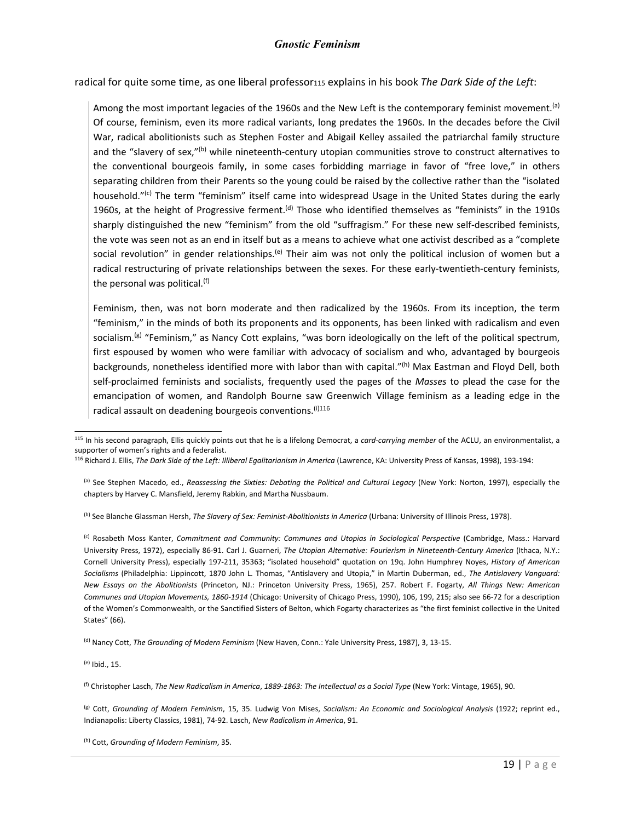radical for quite some time, as one liberal professor<sub>115</sub> explains in his book *The Dark Side of the Left*:

Among the most important legacies of the 1960s and the New Left is the contemporary feminist movement.<sup>(a)</sup> Of course, feminism, even its more radical variants, long predates the 1960s. In the decades before the Civil War, radical abolitionists such as Stephen Foster and Abigail Kelley assailed the patriarchal family structure and the "slavery of sex,"<sup>(b)</sup> while nineteenth-century utopian communities strove to construct alternatives to the conventional bourgeois family, in some cases forbidding marriage in favor of "free love," in others separating children from their Parents so the young could be raised by the collective rather than the "isolated household."<sup>(c)</sup> The term "feminism" itself came into widespread Usage in the United States during the early 1960s, at the height of Progressive ferment.<sup>(d)</sup> Those who identified themselves as "feminists" in the 1910s sharply distinguished the new "feminism" from the old "suffragism." For these new self-described feminists, the vote was seen not as an end in itself but as a means to achieve what one activist described as a "complete social revolution" in gender relationships.<sup>(e)</sup> Their aim was not only the political inclusion of women but a radical restructuring of private relationships between the sexes. For these early-twentieth-century feminists, the personal was political.<sup>(f)</sup>

Feminism, then, was not born moderate and then radicalized by the 1960s. From its inception, the term "feminism," in the minds of both its proponents and its opponents, has been linked with radicalism and even socialism.<sup>(g)</sup> "Feminism," as Nancy Cott explains, "was born ideologically on the left of the political spectrum, first espoused by women who were familiar with advocacy of socialism and who, advantaged by bourgeois backgrounds, nonetheless identified more with labor than with capital."<sup>(h)</sup> Max Eastman and Floyd Dell, both self-proclaimed feminists and socialists, frequently used the pages of the *Masses* to plead the case for the emancipation of women, and Randolph Bourne saw Greenwich Village feminism as a leading edge in the radical assault on deadening bourgeois conventions.<sup>(i)116</sup>

(c) Rosabeth Moss Kanter, *Commitment and Community: Communes and Utopias in Sociological Perspective* (Cambridge, Mass.: Harvard University Press, 1972), especially 86-91. Carl J. Guarneri, *The Utopian Alternative: Fourierism in Nineteenth-Century America* (Ithaca, N.Y.: Cornell University Press), especially 197-211, 35363; "isolated household" quotation on 19q. John Humphrey Noyes, *History of American Socialisms* (Philadelphia: Lippincott, 1870 John L. Thomas, "Antislavery and Utopia," in Martin Duberman, ed., *The Antislavery Vanguard: New Essays on the Abolitionists* (Princeton, NJ.: Princeton University Press, 1965), 257. Robert F. Fogarty, *All Things New: American Communes and Utopian Movements, 1860-1914* (Chicago: University of Chicago Press, 1990), 106, 199, 215; also see 66-72 for a description of the Women's Commonwealth, or the Sanctified Sisters of Belton, which Fogarty characterizes as "the first feminist collective in the United States" (66).

(d) Nancy Cott, *The Grounding of Modern Feminism* (New Haven, Conn.: Yale University Press, 1987), 3, 13-15.

(e) Ibid., 15.

(f) Christopher Lasch, *The New Radicalism in America*, *1889-1863: The Intellectual as a Social Type* (New York: Vintage, 1965), 90.

(g) Cott, *Grounding of Modern Feminism*, 15, 35. Ludwig Von Mises, *Socialism: An Economic and Sociological Analysis* (1922; reprint ed., Indianapolis: Liberty Classics, 1981), 74-92. Lasch, *New Radicalism in America*, 91.

(h) Cott, *Grounding of Modern Feminism*, 35.

<sup>115</sup> In his second paragraph, Ellis quickly points out that he is a lifelong Democrat, a *card-carrying member* of the ACLU, an environmentalist, a supporter of women's rights and a federalist.

<sup>116</sup> Richard J. Ellis, *The Dark Side of the Left: Illiberal Egalitarianism in America* (Lawrence, KA: University Press of Kansas, 1998), 193-194:

<sup>(</sup>a) See Stephen Macedo, ed., *Reassessing the Sixties: Debating the Political and Cultural Legacy* (New York: Norton, 1997), especially the chapters by Harvey C. Mansfield, Jeremy Rabkin, and Martha Nussbaum.

<sup>(</sup>b) See Blanche Glassman Hersh, *The Slavery of Sex: Feminist-Abolitionists in America* (Urbana: University of Illinois Press, 1978).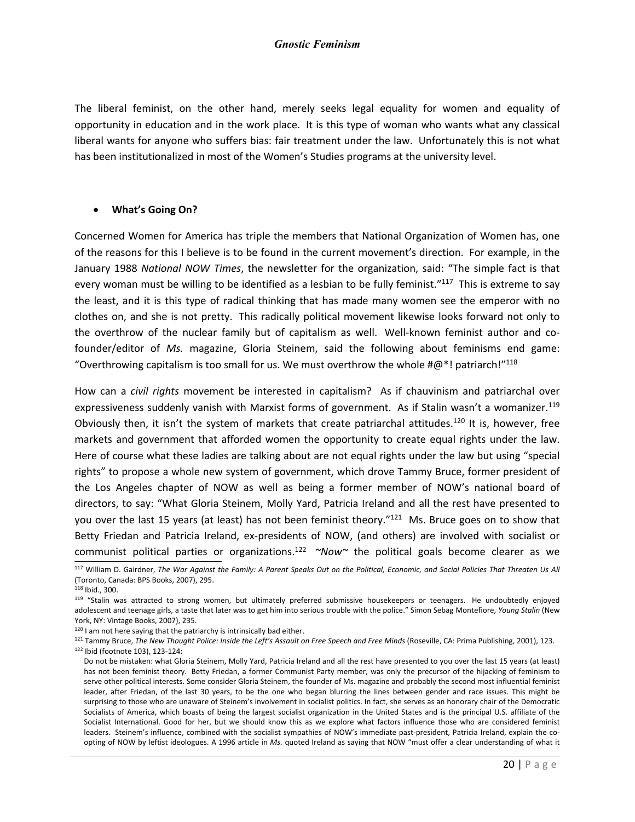The liberal feminist, on the other hand, merely seeks legal equality for women and equality of opportunity in education and in the work place. It is this type of woman who wants what any classical liberal wants for anyone who suffers bias: fair treatment under the law. Unfortunately this is not what has been institutionalized in most of the Women's Studies programs at the university level.

## **What's Going On?**

Concerned Women for America has triple the members that National Organization of Women has, one of the reasons for this I believe is to be found in the current movement's direction. For example, in the January 1988 *National NOW Times*, the newsletter for the organization, said: "The simple fact is that every woman must be willing to be identified as a lesbian to be fully feminist."<sup>117</sup> This is extreme to say the least, and it is this type of radical thinking that has made many women see the emperor with no clothes on, and she is not pretty. This radically political movement likewise looks forward not only to the overthrow of the nuclear family but of capitalism as well. Well-known feminist author and cofounder/editor of *Ms.* magazine, Gloria Steinem, said the following about feminisms end game: "Overthrowing capitalism is too small for us. We must overthrow the whole  $\#\omega^*!$  patriarch!"<sup>118</sup>

How can a *civil rights* movement be interested in capitalism? As if chauvinism and patriarchal over expressiveness suddenly vanish with Marxist forms of government. As if Stalin wasn't a womanizer.<sup>119</sup> Obviously then, it isn't the system of markets that create patriarchal attitudes.<sup>120</sup> It is, however, free markets and government that afforded women the opportunity to create equal rights under the law. Here of course what these ladies are talking about are not equal rights under the law but using "special rights" to propose a whole new system of government, which drove Tammy Bruce, former president of the Los Angeles chapter of NOW as well as being a former member of NOW's national board of directors, to say: "What Gloria Steinem, Molly Yard, Patricia Ireland and all the rest have presented to you over the last 15 years (at least) has not been feminist theory."<sup>121</sup> Ms. Bruce goes on to show that Betty Friedan and Patricia Ireland, ex-presidents of NOW, (and others) are involved with socialist or communist political parties or organizations.<sup>122</sup> *~Now~* the political goals become clearer as we

<sup>117</sup> William D. Gairdner, *The War Against the Family: A Parent Speaks Out on the Political, Economic, and Social Policies That Threaten Us All* (Toronto, Canada: BPS Books, 2007), 295.

<sup>118</sup> Ibid., 300.

<sup>119 &</sup>quot;Stalin was attracted to strong women, but ultimately preferred submissive housekeepers or teenagers. He undoubtedly enjoyed adolescent and teenage girls, a taste that later was to get him into serious trouble with the police." Simon Sebag Montefiore, *Young Stalin* (New York, NY: Vintage Books, 2007), 235.

 $120$  I am not here saying that the patriarchy is intrinsically bad either.

<sup>&</sup>lt;sup>121</sup> Tammy Bruce, *The New Thought Police: Inside the Left's Assault on Free Speech and Free Minds* (Roseville, CA: Prima Publishing, 2001), 123. <sup>122</sup> Ibid (footnote 103), 123-124:

Do not be mistaken: what Gloria Steinem, Molly Yard, Patricia Ireland and all the rest have presented to you over the last 15 years (at least) has not been feminist theory. Betty Friedan, a former Communist Party member, was only the precursor of the hijacking of feminism to serve other political interests. Some consider Gloria Steinem, the founder of Ms. magazine and probably the second most influential feminist leader, after Friedan, of the last 30 years, to be the one who began blurring the lines between gender and race issues. This might be surprising to those who are unaware of Steinem's involvement in socialist politics. In fact, she serves as an honorary chair of the Democratic Socialists of America, which boasts of being the largest socialist organization in the United States and is the principal U.S. affiliate of the Socialist International. Good for her, but we should know this as we explore what factors influence those who are considered feminist leaders. Steinem's influence, combined with the socialist sympathies of NOW's immediate past-president, Patricia Ireland, explain the coopting of NOW by leftist ideologues. A 1996 article in *Ms.* quoted Ireland as saying that NOW "must offer a clear understanding of what it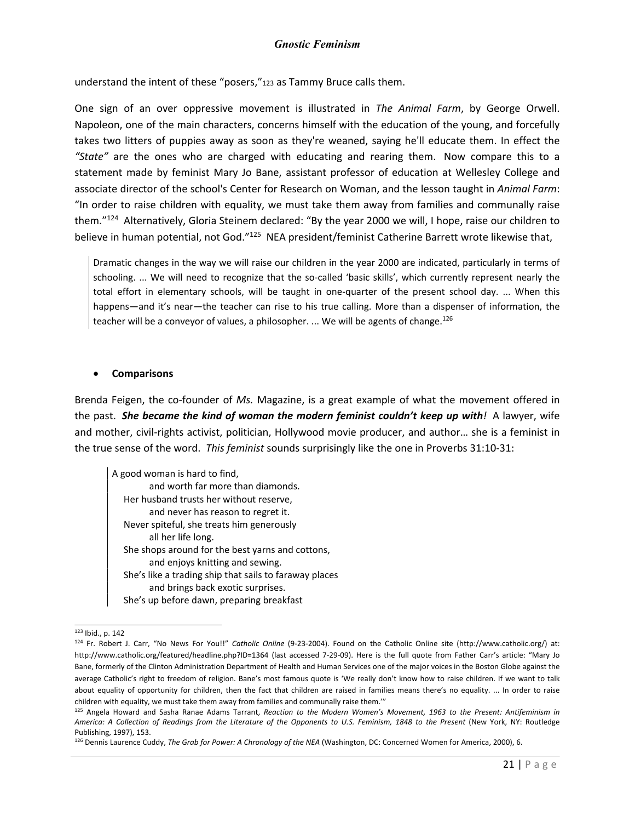understand the intent of these "posers,"<sup>123</sup> as Tammy Bruce calls them.

One sign of an over oppressive movement is illustrated in *The Animal Farm*, by George Orwell. Napoleon, one of the main characters, concerns himself with the education of the young, and forcefully takes two litters of puppies away as soon as they're weaned, saying he'll educate them. In effect the *"State"* are the ones who are charged with educating and rearing them. Now compare this to a statement made by feminist Mary Jo Bane, assistant professor of education at Wellesley College and associate director of the school's Center for Research on Woman, and the lesson taught in *Animal Farm*: "In order to raise children with equality, we must take them away from families and communally raise them."<sup>124</sup> Alternatively, Gloria Steinem declared: "By the year 2000 we will, I hope, raise our children to believe in human potential, not God."<sup>125</sup> NEA president/feminist Catherine Barrett wrote likewise that,

Dramatic changes in the way we will raise our children in the year 2000 are indicated, particularly in terms of schooling. ... We will need to recognize that the so-called 'basic skills', which currently represent nearly the total effort in elementary schools, will be taught in one-quarter of the present school day. ... When this happens—and it's near—the teacher can rise to his true calling. More than a dispenser of information, the teacher will be a conveyor of values, a philosopher. ... We will be agents of change.<sup>126</sup>

#### **Comparisons**

Brenda Feigen, the co-founder of *Ms.* Magazine, is a great example of what the movement offered in the past. *She became the kind of woman the modern feminist couldn't keep up with!* A lawyer, wife and mother, civil-rights activist, politician, Hollywood movie producer, and author… she is a feminist in the true sense of the word. *This feminist* sounds surprisingly like the one in Proverbs 31:10-31:

A good woman is hard to find, and worth far more than diamonds. Her husband trusts her without reserve, and never has reason to regret it. Never spiteful, she treats him generously all her life long. She shops around for the best yarns and cottons, and enjoys knitting and sewing. She's like a trading ship that sails to faraway places and brings back exotic surprises. She's up before dawn, preparing breakfast

<sup>123</sup> Ibid., p. 142

<sup>124</sup> Fr. Robert J. Carr, "No News For You!!" *Catholic Online* (9-23-2004). Found on the Catholic Online site (http://www.catholic.org/) at: http://www.catholic.org/featured/headline.php?ID=1364 (last accessed 7-29-09). Here is the full quote from Father Carr's article: "Mary Jo Bane, formerly of the Clinton Administration Department of Health and Human Services one of the major voices in the Boston Globe against the average Catholic's right to freedom of religion. Bane's most famous quote is 'We really don't know how to raise children. If we want to talk about equality of opportunity for children, then the fact that children are raised in families means there's no equality. ... In order to raise children with equality, we must take them away from families and communally raise them.'"

<sup>125</sup> Angela Howard and Sasha Ranae Adams Tarrant, *Reaction to the Modern Women's Movement, 1963 to the Present: Antifeminism in America: A Collection of Readings from the Literature of the Opponents to U.S. Feminism, 1848 to the Present* (New York, NY: Routledge Publishing, 1997), 153.

<sup>126</sup> Dennis Laurence Cuddy, *The Grab for Power: A Chronology of the NEA* (Washington, DC: Concerned Women for America, 2000), 6.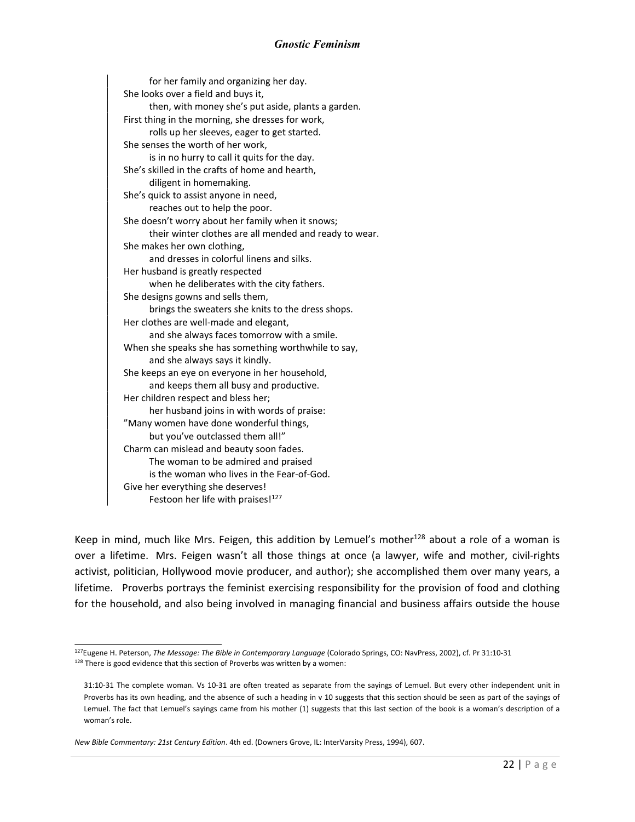for her family and organizing her day. She looks over a field and buys it, then, with money she's put aside, plants a garden. First thing in the morning, she dresses for work, rolls up her sleeves, eager to get started. She senses the worth of her work, is in no hurry to call it quits for the day. She's skilled in the crafts of home and hearth, diligent in homemaking. She's quick to assist anyone in need, reaches out to help the poor. She doesn't worry about her family when it snows; their winter clothes are all mended and ready to wear. She makes her own clothing, and dresses in colorful linens and silks. Her husband is greatly respected when he deliberates with the city fathers. She designs gowns and sells them, brings the sweaters she knits to the dress shops. Her clothes are well-made and elegant, and she always faces tomorrow with a smile. When she speaks she has something worthwhile to say, and she always says it kindly. She keeps an eye on everyone in her household, and keeps them all busy and productive. Her children respect and bless her; her husband joins in with words of praise: "Many women have done wonderful things, but you've outclassed them all!" Charm can mislead and beauty soon fades. The woman to be admired and praised is the woman who lives in the Fear-of-God. Give her everything she deserves! Festoon her life with praises!<sup>127</sup>

Keep in mind, much like Mrs. Feigen, this addition by Lemuel's mother<sup>128</sup> about a role of a woman is over a lifetime. Mrs. Feigen wasn't all those things at once (a lawyer, wife and mother, civil-rights activist, politician, Hollywood movie producer, and author); she accomplished them over many years, a lifetime. Proverbs portrays the feminist exercising responsibility for the provision of food and clothing for the household, and also being involved in managing financial and business affairs outside the house

<sup>127</sup>Eugene H. Peterson, *The Message: The Bible in Contemporary Language* (Colorado Springs, CO: NavPress, 2002), cf. Pr 31:10-31  $128$  There is good evidence that this section of Proverbs was written by a women:

<sup>31:10-31</sup> The complete woman. Vs 10-31 are often treated as separate from the sayings of Lemuel. But every other independent unit in Proverbs has its own heading, and the absence of such a heading in v 10 suggests that this section should be seen as part of the sayings of Lemuel. The fact that Lemuel's sayings came from his mother (1) suggests that this last section of the book is a woman's description of a woman's role.

*New Bible Commentary: 21st Century Edition*. 4th ed. (Downers Grove, IL: InterVarsity Press, 1994), 607.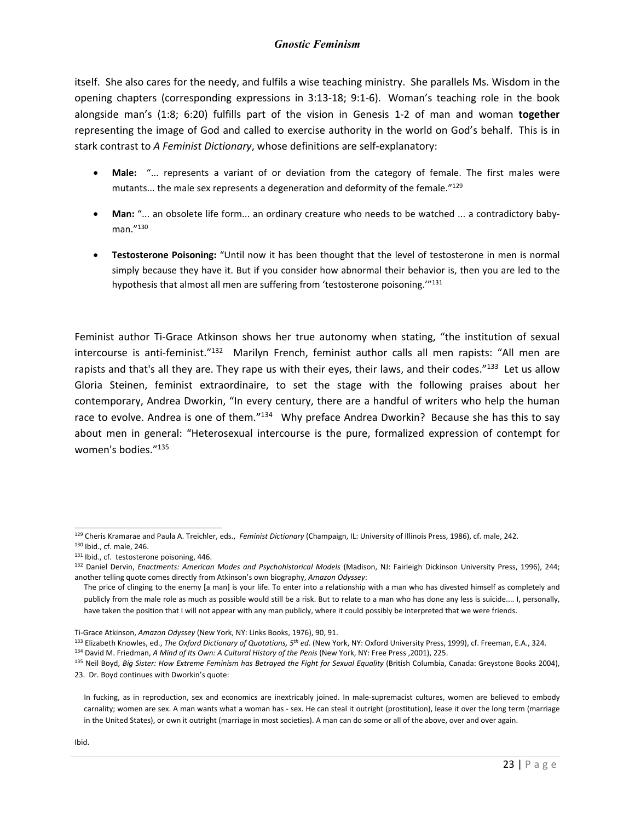itself. She also cares for the needy, and fulfils a wise teaching ministry. She parallels Ms. Wisdom in the opening chapters (corresponding expressions in 3:13-18; 9:1-6). Woman's teaching role in the book alongside man's (1:8; 6:20) fulfills part of the vision in Genesis 1-2 of man and woman **together** representing the image of God and called to exercise authority in the world on God's behalf. This is in stark contrast to *A Feminist Dictionary*, whose definitions are self-explanatory:

- **Male:** "... represents a variant of or deviation from the category of female. The first males were mutants... the male sex represents a degeneration and deformity of the female."<sup>129</sup>
- **Man:** "... an obsolete life form... an ordinary creature who needs to be watched ... a contradictory babyman."<sup>130</sup>
- **Testosterone Poisoning:** "Until now it has been thought that the level of testosterone in men is normal simply because they have it. But if you consider how abnormal their behavior is, then you are led to the hypothesis that almost all men are suffering from 'testosterone poisoning."<sup>131</sup>

Feminist author Ti-Grace Atkinson shows her true autonomy when stating, "the institution of sexual intercourse is anti-feminist."<sup>132</sup> Marilyn French, feminist author calls all men rapists: "All men are rapists and that's all they are. They rape us with their eyes, their laws, and their codes."133 Let us allow Gloria Steinen, feminist extraordinaire, to set the stage with the following praises about her contemporary, Andrea Dworkin, "In every century, there are a handful of writers who help the human race to evolve. Andrea is one of them."134 Why preface Andrea Dworkin? Because she has this to say about men in general: "Heterosexual intercourse is the pure, formalized expression of contempt for women's bodies."<sup>135</sup>

<sup>129</sup> Cheris Kramarae and Paula A. Treichler, eds., *Feminist Dictionary* (Champaign, IL: University of Illinois Press, 1986), cf. male, 242. <sup>130</sup> Ibid., cf. male, 246.

<sup>131</sup> Ibid., cf. testosterone poisoning, 446.

<sup>132</sup> Daniel Dervin, *Enactments: American Modes and Psychohistorical Models* (Madison, NJ: Fairleigh Dickinson University Press, 1996), 244; another telling quote comes directly from Atkinson's own biography, *Amazon Odyssey*:

The price of clinging to the enemy [a man] is your life. To enter into a relationship with a man who has divested himself as completely and publicly from the male role as much as possible would still be a risk. But to relate to a man who has done any less is suicide.... I, personally, have taken the position that I will not appear with any man publicly, where it could possibly be interpreted that we were friends.

Ti-Grace Atkinson, *Amazon Odyssey* (New York, NY: Links Books, 1976), 90, 91.

<sup>133</sup> Elizabeth Knowles, ed., *The Oxford Dictionary of Quotations, 5th ed.* (New York, NY: Oxford University Press, 1999), cf. Freeman, E.A., 324.

<sup>134</sup> David M. Friedman, *A Mind of Its Own: A Cultural History of the Penis* (New York, NY: Free Press ,2001), 225.

<sup>135</sup> Neil Boyd, *Big Sister: How Extreme Feminism has Betrayed the Fight for Sexual Equality* (British Columbia, Canada: Greystone Books 2004), 23. Dr. Boyd continues with Dworkin's quote:

In fucking, as in reproduction, sex and economics are inextricably joined. In male-supremacist cultures, women are believed to embody carnality; women are sex. A man wants what a woman has - sex. He can steal it outright (prostitution), lease it over the long term (marriage in the United States), or own it outright (marriage in most societies). A man can do some or all of the above, over and over again.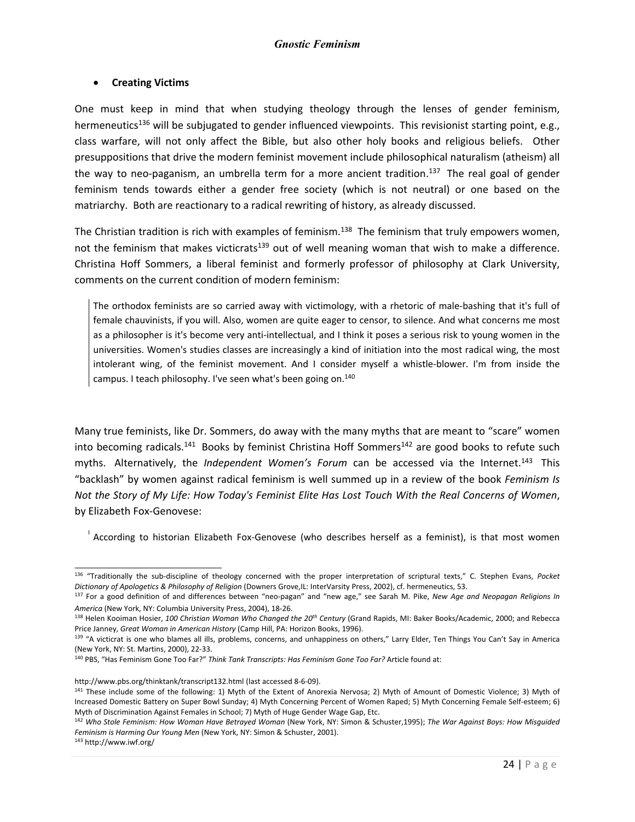# **Creating Victims**

One must keep in mind that when studying theology through the lenses of gender feminism, hermeneutics<sup>136</sup> will be subjugated to gender influenced viewpoints. This revisionist starting point, e.g., class warfare, will not only affect the Bible, but also other holy books and religious beliefs. Other presuppositions that drive the modern feminist movement include philosophical naturalism (atheism) all the way to neo-paganism, an umbrella term for a more ancient tradition.<sup>137</sup> The real goal of gender feminism tends towards either a gender free society (which is not neutral) or one based on the matriarchy. Both are reactionary to a radical rewriting of history, as already discussed.

The Christian tradition is rich with examples of feminism.<sup>138</sup> The feminism that truly empowers women, not the feminism that makes victicrats<sup>139</sup> out of well meaning woman that wish to make a difference. Christina Hoff Sommers, a liberal feminist and formerly professor of philosophy at Clark University, comments on the current condition of modern feminism:

The orthodox feminists are so carried away with victimology, with a rhetoric of male-bashing that it's full of female chauvinists, if you will. Also, women are quite eager to censor, to silence. And what concerns me most as a philosopher is it's become very anti-intellectual, and I think it poses a serious risk to young women in the universities. Women's studies classes are increasingly a kind of initiation into the most radical wing, the most intolerant wing, of the feminist movement. And I consider myself a whistle-blower. I'm from inside the campus. I teach philosophy. I've seen what's been going on.<sup>140</sup>

Many true feminists, like Dr. Sommers, do away with the many myths that are meant to "scare" women into becoming radicals.<sup>141</sup> Books by feminist Christina Hoff Sommers<sup>142</sup> are good books to refute such myths. Alternatively, the *Independent Women's Forum* can be accessed via the Internet.<sup>143</sup> This "backlash" by women against radical feminism is well summed up in a review of the book *Feminism Is Not the Story of My Life: How Today's Feminist Elite Has Lost Touch With the Real Concerns of Women*, by Elizabeth Fox-Genovese:

According to historian Elizabeth Fox-Genovese (who describes herself as a feminist), is that most women

http://www.pbs.org/thinktank/transcript132.html (last accessed 8-6-09).

<sup>136</sup> "Traditionally the sub-discipline of theology concerned with the proper interpretation of scriptural texts," C. Stephen Evans, *Pocket Dictionary of Apologetics & Philosophy of Religion* (Downers Grove,IL: InterVarsity Press, 2002), cf. hermeneutics, 53.

<sup>137</sup> For a good definition of and differences between "neo-pagan" and "new age," see Sarah M. Pike, *New Age and Neopagan Religions In America* (New York, NY: Columbia University Press, 2004), 18-26.

<sup>138</sup> Helen Kooiman Hosier, *100 Christian Woman Who Changed the 20th Century* (Grand Rapids, MI: Baker Books/Academic, 2000; and Rebecca Price Janney, *Great Woman in American History* (Camp Hill, PA: Horizon Books, 1996).

<sup>139 &</sup>quot;A victicrat is one who blames all ills, problems, concerns, and unhappiness on others," Larry Elder, Ten Things You Can't Say in America (New York, NY: St. Martins, 2000), 22-33.

<sup>140</sup> PBS, "Has Feminism Gone Too Far?" *Think Tank Transcripts: Has Feminism Gone Too Far?* Article found at:

<sup>141</sup> These include some of the following: 1) Myth of the Extent of Anorexia Nervosa; 2) Myth of Amount of Domestic Violence; 3) Myth of Increased Domestic Battery on Super Bowl Sunday; 4) Myth Concerning Percent of Women Raped; 5) Myth Concerning Female Self-esteem; 6) Myth of Discrimination Against Females in School; 7) Myth of Huge Gender Wage Gap, Etc.

<sup>142</sup> *Who Stole Feminism: How Woman Have Betrayed Woman* (New York, NY: Simon & Schuster,1995); *The War Against Boys: How Misguided Feminism is Harming Our Young Men* (New York, NY: Simon & Schuster, 2001).

<sup>143</sup> http://www.iwf.org/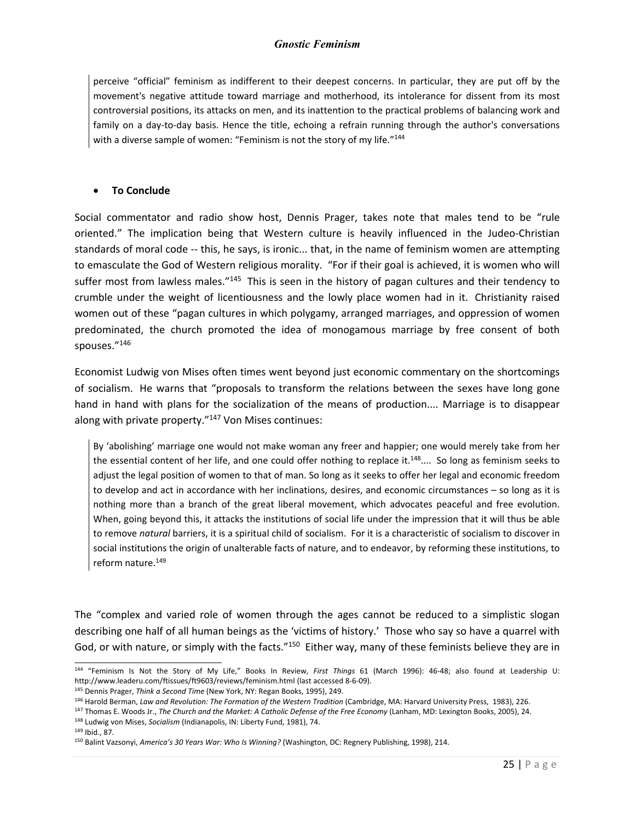perceive "official" feminism as indifferent to their deepest concerns. In particular, they are put off by the movement's negative attitude toward marriage and motherhood, its intolerance for dissent from its most controversial positions, its attacks on men, and its inattention to the practical problems of balancing work and family on a day-to-day basis. Hence the title, echoing a refrain running through the author's conversations with a diverse sample of women: "Feminism is not the story of my life."<sup>144</sup>

#### **To Conclude**

Social commentator and radio show host, Dennis Prager, takes note that males tend to be "rule oriented." The implication being that Western culture is heavily influenced in the Judeo-Christian standards of moral code -- this, he says, is ironic... that, in the name of feminism women are attempting to emasculate the God of Western religious morality. "For if their goal is achieved, it is women who will suffer most from lawless males."<sup>145</sup> This is seen in the history of pagan cultures and their tendency to crumble under the weight of licentiousness and the lowly place women had in it. Christianity raised women out of these "pagan cultures in which polygamy, arranged marriages, and oppression of women predominated, the church promoted the idea of monogamous marriage by free consent of both spouses."<sup>146</sup>

Economist Ludwig von Mises often times went beyond just economic commentary on the shortcomings of socialism. He warns that "proposals to transform the relations between the sexes have long gone hand in hand with plans for the socialization of the means of production.... Marriage is to disappear along with private property."<sup>147</sup> Von Mises continues:

By 'abolishing' marriage one would not make woman any freer and happier; one would merely take from her the essential content of her life, and one could offer nothing to replace it.<sup>148</sup> $\dots$  So long as feminism seeks to adjust the legal position of women to that of man. So long as it seeks to offer her legal and economic freedom to develop and act in accordance with her inclinations, desires, and economic circumstances – so long as it is nothing more than a branch of the great liberal movement, which advocates peaceful and free evolution. When, going beyond this, it attacks the institutions of social life under the impression that it will thus be able to remove *natural* barriers, it is a spiritual child of socialism. For it is a characteristic of socialism to discover in social institutions the origin of unalterable facts of nature, and to endeavor, by reforming these institutions, to reform nature.<sup>149</sup>

The "complex and varied role of women through the ages cannot be reduced to a simplistic slogan describing one half of all human beings as the 'victims of history.' Those who say so have a quarrel with God, or with nature, or simply with the facts."<sup>150</sup> Either way, many of these feminists believe they are in

<sup>144</sup> "Feminism Is Not the Story of My Life," Books In Review, *First Things* 61 (March 1996): 46-48; also found at Leadership U: http://www.leaderu.com/ftissues/ft9603/reviews/feminism.html (last accessed 8-6-09).

<sup>145</sup> Dennis Prager, *Think a Second Time* (New York, NY: Regan Books, 1995), 249.

<sup>146</sup> Harold Berman, *Law and Revolution: The Formation of the Western Tradition* (Cambridge, MA: Harvard University Press, 1983), 226.

<sup>147</sup> Thomas E. Woods Jr., *The Church and the Market: A Catholic Defense of the Free Economy* (Lanham, MD: Lexington Books, 2005), 24.

<sup>148</sup> Ludwig von Mises, *Socialism* (Indianapolis, IN: Liberty Fund, 1981), 74.

<sup>149</sup> Ibid., 87.

<sup>150</sup> Balint Vazsonyi, *America's 30 Years War: Who Is Winning?* (Washington, DC: Regnery Publishing, 1998), 214.